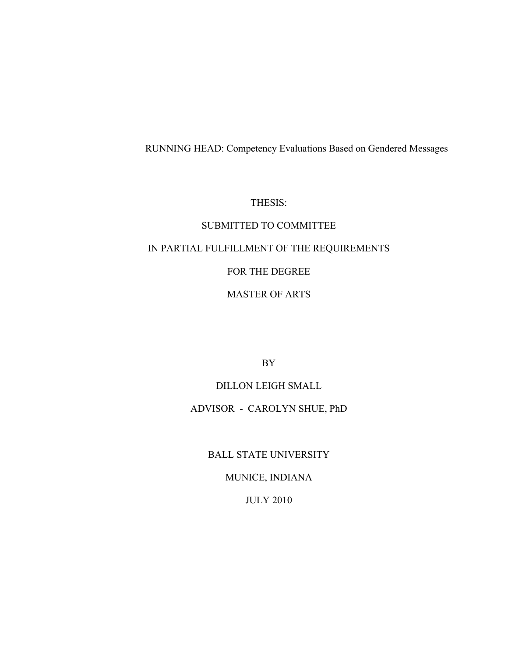# RUNNING HEAD: Competency Evaluations Based on Gendered Messages

THESIS:

# SUBMITTED TO COMMITTEE IN PARTIAL FULFILLMENT OF THE REQUIREMENTS FOR THE DEGREE MASTER OF ARTS

BY

DILLON LEIGH SMALL ADVISOR - CAROLYN SHUE, PhD

BALL STATE UNIVERSITY

MUNICE, INDIANA

JULY 2010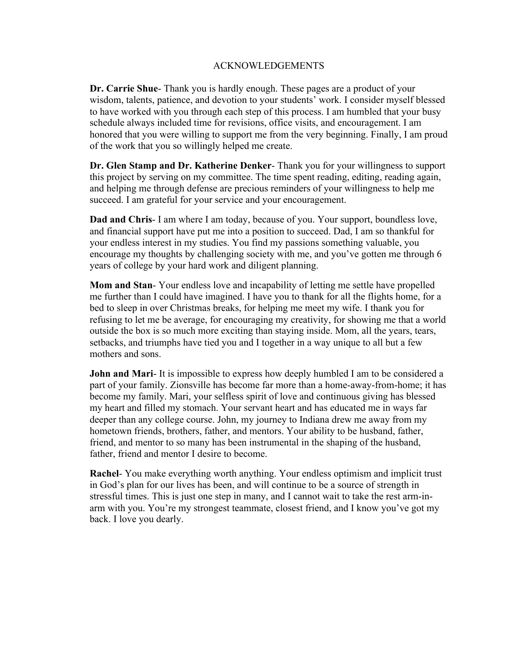## ACKNOWLEDGEMENTS

**Dr. Carrie Shue**- Thank you is hardly enough. These pages are a product of your wisdom, talents, patience, and devotion to your students' work. I consider myself blessed to have worked with you through each step of this process. I am humbled that your busy schedule always included time for revisions, office visits, and encouragement. I am honored that you were willing to support me from the very beginning. Finally, I am proud of the work that you so willingly helped me create.

**Dr. Glen Stamp and Dr. Katherine Denker**- Thank you for your willingness to support this project by serving on my committee. The time spent reading, editing, reading again, and helping me through defense are precious reminders of your willingness to help me succeed. I am grateful for your service and your encouragement.

**Dad and Chris**- I am where I am today, because of you. Your support, boundless love, and financial support have put me into a position to succeed. Dad, I am so thankful for your endless interest in my studies. You find my passions something valuable, you encourage my thoughts by challenging society with me, and you've gotten me through 6 years of college by your hard work and diligent planning.

**Mom and Stan**- Your endless love and incapability of letting me settle have propelled me further than I could have imagined. I have you to thank for all the flights home, for a bed to sleep in over Christmas breaks, for helping me meet my wife. I thank you for refusing to let me be average, for encouraging my creativity, for showing me that a world outside the box is so much more exciting than staying inside. Mom, all the years, tears, setbacks, and triumphs have tied you and I together in a way unique to all but a few mothers and sons.

**John and Mari-** It is impossible to express how deeply humbled I am to be considered a part of your family. Zionsville has become far more than a home-away-from-home; it has become my family. Mari, your selfless spirit of love and continuous giving has blessed my heart and filled my stomach. Your servant heart and has educated me in ways far deeper than any college course. John, my journey to Indiana drew me away from my hometown friends, brothers, father, and mentors. Your ability to be husband, father, friend, and mentor to so many has been instrumental in the shaping of the husband, father, friend and mentor I desire to become.

**Rachel**- You make everything worth anything. Your endless optimism and implicit trust in God's plan for our lives has been, and will continue to be a source of strength in stressful times. This is just one step in many, and I cannot wait to take the rest arm-inarm with you. You're my strongest teammate, closest friend, and I know you've got my back. I love you dearly.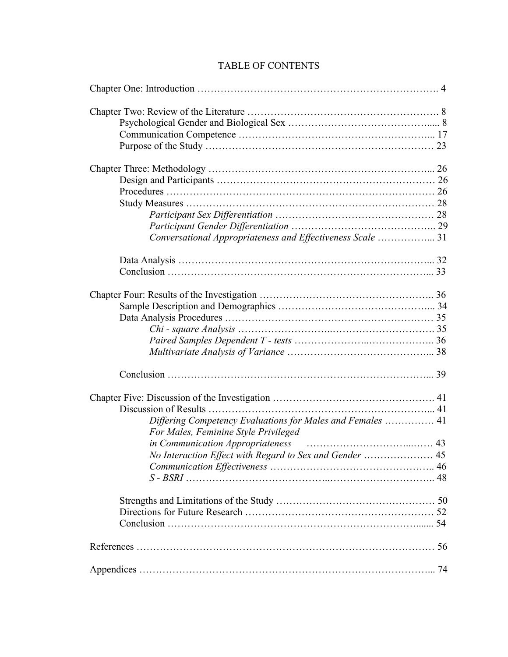# TABLE OF CONTENTS

| Conversational Appropriateness and Effectiveness Scale  31 |  |
|------------------------------------------------------------|--|
|                                                            |  |
|                                                            |  |
|                                                            |  |
|                                                            |  |
|                                                            |  |
|                                                            |  |
|                                                            |  |
|                                                            |  |
|                                                            |  |
|                                                            |  |
|                                                            |  |
| Differing Competency Evaluations for Males and Females  41 |  |
| For Males, Feminine Style Privileged                       |  |
|                                                            |  |
| No Interaction Effect with Regard to Sex and Gender  45    |  |
|                                                            |  |
|                                                            |  |
|                                                            |  |
|                                                            |  |
|                                                            |  |
|                                                            |  |
|                                                            |  |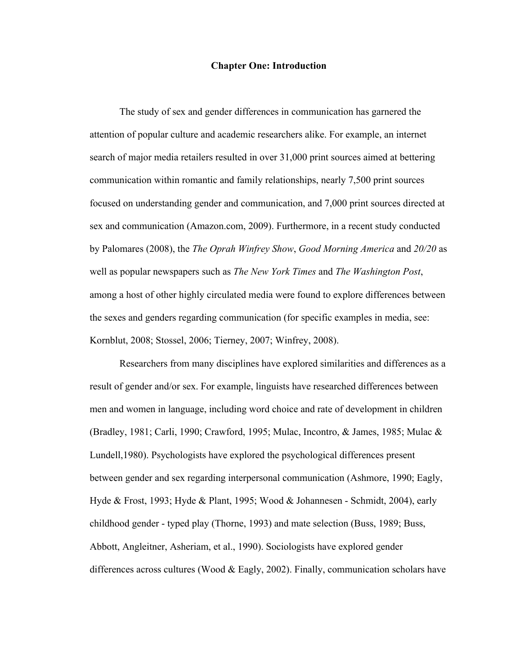#### **Chapter One: Introduction**

The study of sex and gender differences in communication has garnered the attention of popular culture and academic researchers alike. For example, an internet search of major media retailers resulted in over 31,000 print sources aimed at bettering communication within romantic and family relationships, nearly 7,500 print sources focused on understanding gender and communication, and 7,000 print sources directed at sex and communication (Amazon.com, 2009). Furthermore, in a recent study conducted by Palomares (2008), the *The Oprah Winfrey Show*, *Good Morning America* and *20/20* as well as popular newspapers such as *The New York Times* and *The Washington Post*, among a host of other highly circulated media were found to explore differences between the sexes and genders regarding communication (for specific examples in media, see: Kornblut, 2008; Stossel, 2006; Tierney, 2007; Winfrey, 2008).

Researchers from many disciplines have explored similarities and differences as a result of gender and/or sex. For example, linguists have researched differences between men and women in language, including word choice and rate of development in children (Bradley, 1981; Carli, 1990; Crawford, 1995; Mulac, Incontro, & James, 1985; Mulac & Lundell,1980). Psychologists have explored the psychological differences present between gender and sex regarding interpersonal communication (Ashmore, 1990; Eagly, Hyde & Frost, 1993; Hyde & Plant, 1995; Wood & Johannesen - Schmidt, 2004), early childhood gender - typed play (Thorne, 1993) and mate selection (Buss, 1989; Buss, Abbott, Angleitner, Asheriam, et al., 1990). Sociologists have explored gender differences across cultures (Wood & Eagly, 2002). Finally, communication scholars have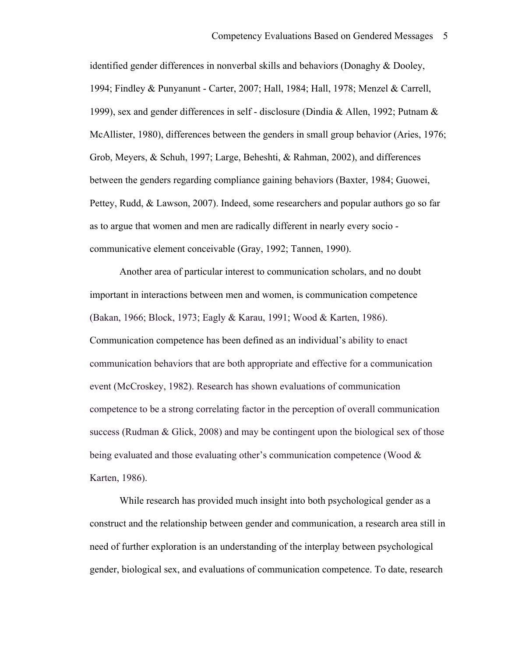identified gender differences in nonverbal skills and behaviors (Donaghy & Dooley, 1994; Findley & Punyanunt - Carter, 2007; Hall, 1984; Hall, 1978; Menzel & Carrell, 1999), sex and gender differences in self - disclosure (Dindia & Allen, 1992; Putnam & McAllister, 1980), differences between the genders in small group behavior (Aries, 1976; Grob, Meyers, & Schuh, 1997; Large, Beheshti, & Rahman, 2002), and differences between the genders regarding compliance gaining behaviors (Baxter, 1984; Guowei, Pettey, Rudd, & Lawson, 2007). Indeed, some researchers and popular authors go so far as to argue that women and men are radically different in nearly every socio communicative element conceivable (Gray, 1992; Tannen, 1990).

Another area of particular interest to communication scholars, and no doubt important in interactions between men and women, is communication competence (Bakan, 1966; Block, 1973; Eagly & Karau, 1991; Wood & Karten, 1986). Communication competence has been defined as an individual's ability to enact communication behaviors that are both appropriate and effective for a communication event (McCroskey, 1982). Research has shown evaluations of communication competence to be a strong correlating factor in the perception of overall communication success (Rudman & Glick, 2008) and may be contingent upon the biological sex of those being evaluated and those evaluating other's communication competence (Wood & Karten, 1986).

While research has provided much insight into both psychological gender as a construct and the relationship between gender and communication, a research area still in need of further exploration is an understanding of the interplay between psychological gender, biological sex, and evaluations of communication competence. To date, research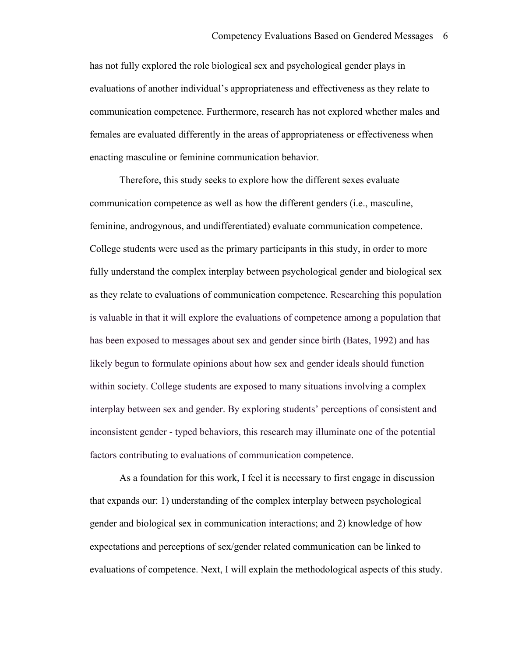has not fully explored the role biological sex and psychological gender plays in evaluations of another individual's appropriateness and effectiveness as they relate to communication competence. Furthermore, research has not explored whether males and females are evaluated differently in the areas of appropriateness or effectiveness when enacting masculine or feminine communication behavior.

Therefore, this study seeks to explore how the different sexes evaluate communication competence as well as how the different genders (i.e., masculine, feminine, androgynous, and undifferentiated) evaluate communication competence. College students were used as the primary participants in this study, in order to more fully understand the complex interplay between psychological gender and biological sex as they relate to evaluations of communication competence. Researching this population is valuable in that it will explore the evaluations of competence among a population that has been exposed to messages about sex and gender since birth (Bates, 1992) and has likely begun to formulate opinions about how sex and gender ideals should function within society. College students are exposed to many situations involving a complex interplay between sex and gender. By exploring students' perceptions of consistent and inconsistent gender - typed behaviors, this research may illuminate one of the potential factors contributing to evaluations of communication competence.

As a foundation for this work, I feel it is necessary to first engage in discussion that expands our: 1) understanding of the complex interplay between psychological gender and biological sex in communication interactions; and 2) knowledge of how expectations and perceptions of sex/gender related communication can be linked to evaluations of competence. Next, I will explain the methodological aspects of this study.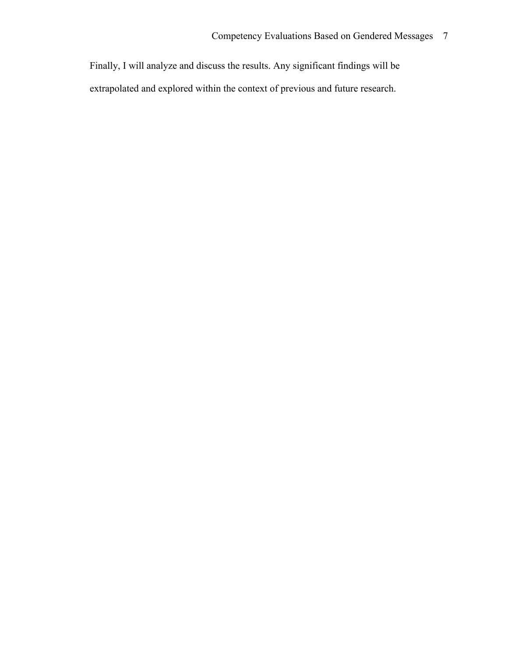Finally, I will analyze and discuss the results. Any significant findings will be extrapolated and explored within the context of previous and future research.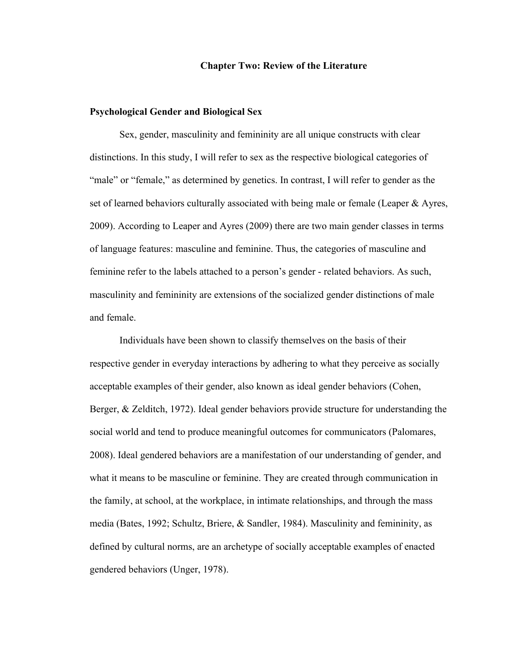#### **Chapter Two: Review of the Literature**

#### **Psychological Gender and Biological Sex**

Sex, gender, masculinity and femininity are all unique constructs with clear distinctions. In this study, I will refer to sex as the respective biological categories of "male" or "female," as determined by genetics. In contrast, I will refer to gender as the set of learned behaviors culturally associated with being male or female (Leaper & Ayres, 2009). According to Leaper and Ayres (2009) there are two main gender classes in terms of language features: masculine and feminine. Thus, the categories of masculine and feminine refer to the labels attached to a person's gender - related behaviors. As such, masculinity and femininity are extensions of the socialized gender distinctions of male and female.

Individuals have been shown to classify themselves on the basis of their respective gender in everyday interactions by adhering to what they perceive as socially acceptable examples of their gender, also known as ideal gender behaviors (Cohen, Berger, & Zelditch, 1972). Ideal gender behaviors provide structure for understanding the social world and tend to produce meaningful outcomes for communicators (Palomares, 2008). Ideal gendered behaviors are a manifestation of our understanding of gender, and what it means to be masculine or feminine. They are created through communication in the family, at school, at the workplace, in intimate relationships, and through the mass media (Bates, 1992; Schultz, Briere, & Sandler, 1984). Masculinity and femininity, as defined by cultural norms, are an archetype of socially acceptable examples of enacted gendered behaviors (Unger, 1978).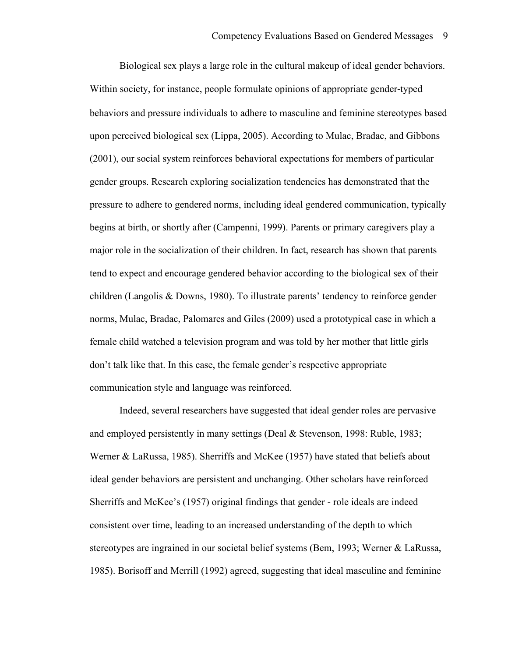Biological sex plays a large role in the cultural makeup of ideal gender behaviors. Within society, for instance, people formulate opinions of appropriate gender-typed behaviors and pressure individuals to adhere to masculine and feminine stereotypes based upon perceived biological sex (Lippa, 2005). According to Mulac, Bradac, and Gibbons (2001), our social system reinforces behavioral expectations for members of particular gender groups. Research exploring socialization tendencies has demonstrated that the pressure to adhere to gendered norms, including ideal gendered communication, typically begins at birth, or shortly after (Campenni, 1999). Parents or primary caregivers play a major role in the socialization of their children. In fact, research has shown that parents tend to expect and encourage gendered behavior according to the biological sex of their children (Langolis & Downs, 1980). To illustrate parents' tendency to reinforce gender norms, Mulac, Bradac, Palomares and Giles (2009) used a prototypical case in which a female child watched a television program and was told by her mother that little girls don't talk like that. In this case, the female gender's respective appropriate communication style and language was reinforced.

Indeed, several researchers have suggested that ideal gender roles are pervasive and employed persistently in many settings (Deal & Stevenson, 1998: Ruble, 1983; Werner & LaRussa, 1985). Sherriffs and McKee (1957) have stated that beliefs about ideal gender behaviors are persistent and unchanging. Other scholars have reinforced Sherriffs and McKee's (1957) original findings that gender - role ideals are indeed consistent over time, leading to an increased understanding of the depth to which stereotypes are ingrained in our societal belief systems (Bem, 1993; Werner & LaRussa, 1985). Borisoff and Merrill (1992) agreed, suggesting that ideal masculine and feminine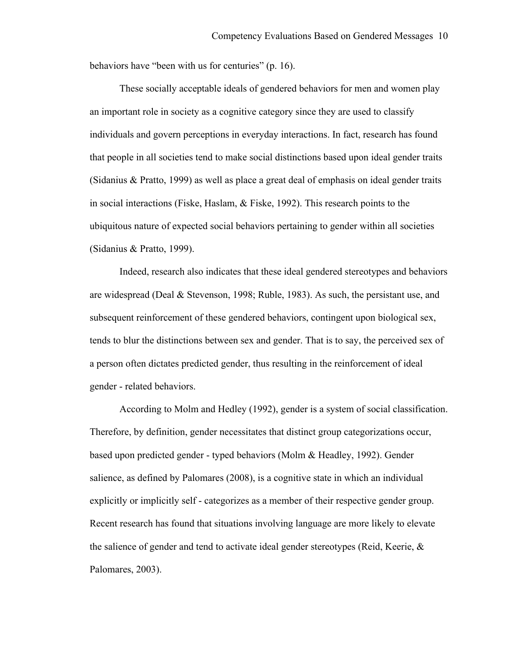behaviors have "been with us for centuries" (p. 16).

These socially acceptable ideals of gendered behaviors for men and women play an important role in society as a cognitive category since they are used to classify individuals and govern perceptions in everyday interactions. In fact, research has found that people in all societies tend to make social distinctions based upon ideal gender traits (Sidanius & Pratto, 1999) as well as place a great deal of emphasis on ideal gender traits in social interactions (Fiske, Haslam, & Fiske, 1992). This research points to the ubiquitous nature of expected social behaviors pertaining to gender within all societies (Sidanius & Pratto, 1999).

Indeed, research also indicates that these ideal gendered stereotypes and behaviors are widespread (Deal & Stevenson, 1998; Ruble, 1983). As such, the persistant use, and subsequent reinforcement of these gendered behaviors, contingent upon biological sex, tends to blur the distinctions between sex and gender. That is to say, the perceived sex of a person often dictates predicted gender, thus resulting in the reinforcement of ideal gender - related behaviors.

According to Molm and Hedley (1992), gender is a system of social classification. Therefore, by definition, gender necessitates that distinct group categorizations occur, based upon predicted gender - typed behaviors (Molm & Headley, 1992). Gender salience, as defined by Palomares (2008), is a cognitive state in which an individual explicitly or implicitly self - categorizes as a member of their respective gender group. Recent research has found that situations involving language are more likely to elevate the salience of gender and tend to activate ideal gender stereotypes (Reid, Keerie, & Palomares, 2003).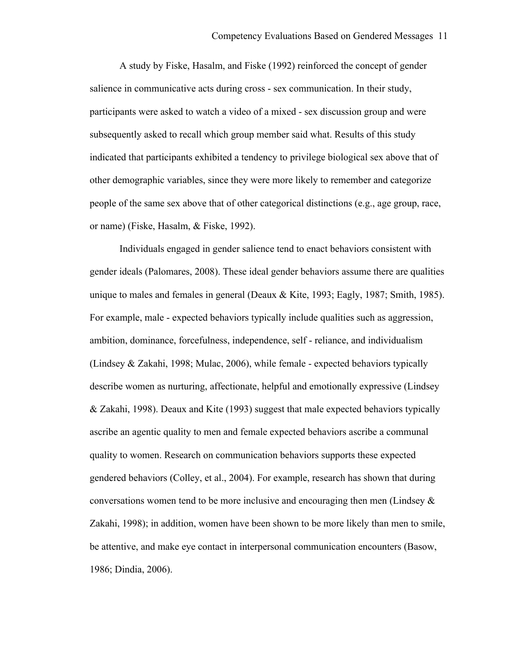A study by Fiske, Hasalm, and Fiske (1992) reinforced the concept of gender salience in communicative acts during cross - sex communication. In their study, participants were asked to watch a video of a mixed - sex discussion group and were subsequently asked to recall which group member said what. Results of this study indicated that participants exhibited a tendency to privilege biological sex above that of other demographic variables, since they were more likely to remember and categorize people of the same sex above that of other categorical distinctions (e.g., age group, race, or name) (Fiske, Hasalm, & Fiske, 1992).

Individuals engaged in gender salience tend to enact behaviors consistent with gender ideals (Palomares, 2008). These ideal gender behaviors assume there are qualities unique to males and females in general (Deaux  $\&$  Kite, 1993; Eagly, 1987; Smith, 1985). For example, male - expected behaviors typically include qualities such as aggression, ambition, dominance, forcefulness, independence, self - reliance, and individualism (Lindsey & Zakahi, 1998; Mulac, 2006), while female - expected behaviors typically describe women as nurturing, affectionate, helpful and emotionally expressive (Lindsey & Zakahi, 1998). Deaux and Kite (1993) suggest that male expected behaviors typically ascribe an agentic quality to men and female expected behaviors ascribe a communal quality to women. Research on communication behaviors supports these expected gendered behaviors (Colley, et al., 2004). For example, research has shown that during conversations women tend to be more inclusive and encouraging then men (Lindsey  $\&$ Zakahi, 1998); in addition, women have been shown to be more likely than men to smile, be attentive, and make eye contact in interpersonal communication encounters (Basow, 1986; Dindia, 2006).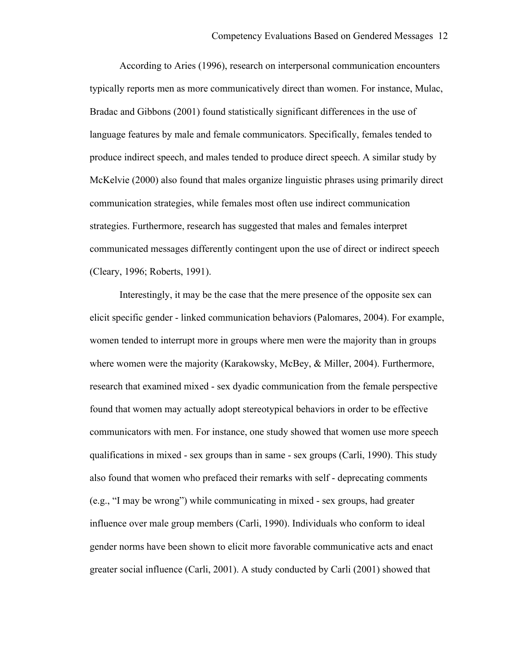According to Aries (1996), research on interpersonal communication encounters typically reports men as more communicatively direct than women. For instance, Mulac, Bradac and Gibbons (2001) found statistically significant differences in the use of language features by male and female communicators. Specifically, females tended to produce indirect speech, and males tended to produce direct speech. A similar study by McKelvie (2000) also found that males organize linguistic phrases using primarily direct communication strategies, while females most often use indirect communication strategies. Furthermore, research has suggested that males and females interpret communicated messages differently contingent upon the use of direct or indirect speech (Cleary, 1996; Roberts, 1991).

Interestingly, it may be the case that the mere presence of the opposite sex can elicit specific gender - linked communication behaviors (Palomares, 2004). For example, women tended to interrupt more in groups where men were the majority than in groups where women were the majority (Karakowsky, McBey, & Miller, 2004). Furthermore, research that examined mixed - sex dyadic communication from the female perspective found that women may actually adopt stereotypical behaviors in order to be effective communicators with men. For instance, one study showed that women use more speech qualifications in mixed - sex groups than in same - sex groups (Carli, 1990). This study also found that women who prefaced their remarks with self - deprecating comments (e.g., "I may be wrong") while communicating in mixed - sex groups, had greater influence over male group members (Carli, 1990). Individuals who conform to ideal gender norms have been shown to elicit more favorable communicative acts and enact greater social influence (Carli, 2001). A study conducted by Carli (2001) showed that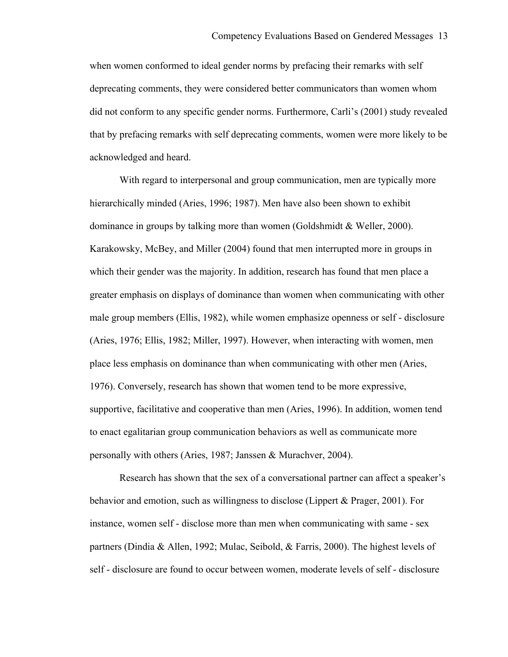when women conformed to ideal gender norms by prefacing their remarks with self deprecating comments, they were considered better communicators than women whom did not conform to any specific gender norms. Furthermore, Carli's (2001) study revealed that by prefacing remarks with self deprecating comments, women were more likely to be acknowledged and heard.

With regard to interpersonal and group communication, men are typically more hierarchically minded (Aries, 1996; 1987). Men have also been shown to exhibit dominance in groups by talking more than women (Goldshmidt & Weller, 2000). Karakowsky, McBey, and Miller (2004) found that men interrupted more in groups in which their gender was the majority. In addition, research has found that men place a greater emphasis on displays of dominance than women when communicating with other male group members (Ellis, 1982), while women emphasize openness or self - disclosure (Aries, 1976; Ellis, 1982; Miller, 1997). However, when interacting with women, men place less emphasis on dominance than when communicating with other men (Aries, 1976). Conversely, research has shown that women tend to be more expressive, supportive, facilitative and cooperative than men (Aries, 1996). In addition, women tend to enact egalitarian group communication behaviors as well as communicate more personally with others (Aries, 1987; Janssen & Murachver, 2004).

Research has shown that the sex of a conversational partner can affect a speaker's behavior and emotion, such as willingness to disclose (Lippert & Prager, 2001). For instance, women self - disclose more than men when communicating with same - sex partners (Dindia & Allen, 1992; Mulac, Seibold, & Farris, 2000). The highest levels of self - disclosure are found to occur between women, moderate levels of self - disclosure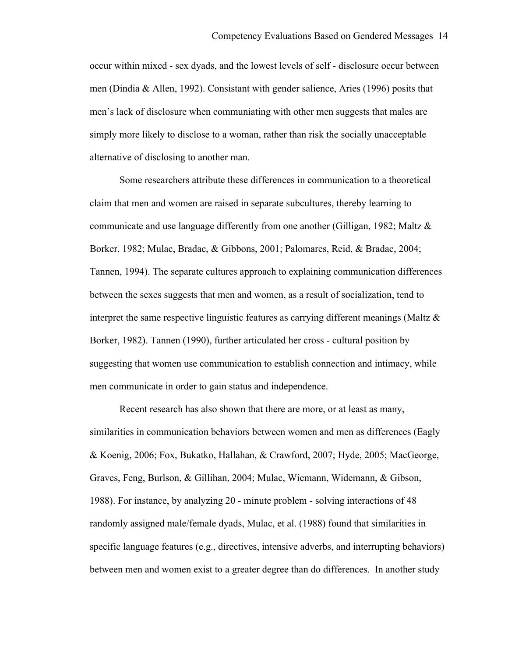occur within mixed - sex dyads, and the lowest levels of self - disclosure occur between men (Dindia & Allen, 1992). Consistant with gender salience, Aries (1996) posits that men's lack of disclosure when communiating with other men suggests that males are simply more likely to disclose to a woman, rather than risk the socially unacceptable alternative of disclosing to another man.

Some researchers attribute these differences in communication to a theoretical claim that men and women are raised in separate subcultures, thereby learning to communicate and use language differently from one another (Gilligan, 1982; Maltz & Borker, 1982; Mulac, Bradac, & Gibbons, 2001; Palomares, Reid, & Bradac, 2004; Tannen, 1994). The separate cultures approach to explaining communication differences between the sexes suggests that men and women, as a result of socialization, tend to interpret the same respective linguistic features as carrying different meanings (Maltz  $\&$ Borker, 1982). Tannen (1990), further articulated her cross - cultural position by suggesting that women use communication to establish connection and intimacy, while men communicate in order to gain status and independence.

Recent research has also shown that there are more, or at least as many, similarities in communication behaviors between women and men as differences (Eagly & Koenig, 2006; Fox, Bukatko, Hallahan, & Crawford, 2007; Hyde, 2005; MacGeorge, Graves, Feng, Burlson, & Gillihan, 2004; Mulac, Wiemann, Widemann, & Gibson, 1988). For instance, by analyzing 20 - minute problem - solving interactions of 48 randomly assigned male/female dyads, Mulac, et al. (1988) found that similarities in specific language features (e.g., directives, intensive adverbs, and interrupting behaviors) between men and women exist to a greater degree than do differences. In another study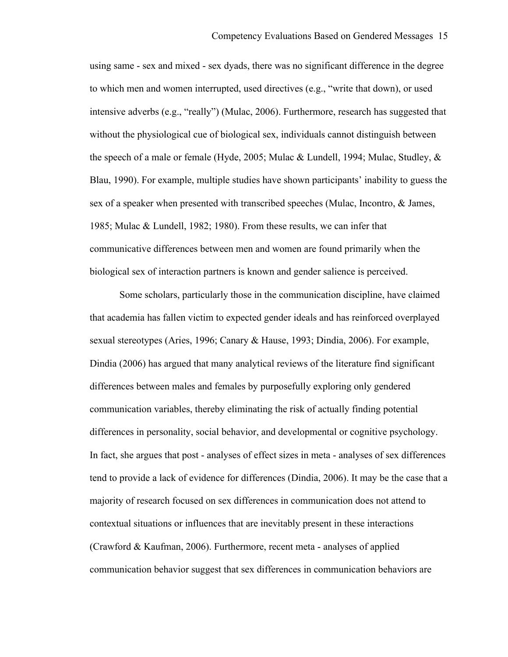using same - sex and mixed - sex dyads, there was no significant difference in the degree to which men and women interrupted, used directives (e.g., "write that down), or used intensive adverbs (e.g., "really") (Mulac, 2006). Furthermore, research has suggested that without the physiological cue of biological sex, individuals cannot distinguish between the speech of a male or female (Hyde, 2005; Mulac & Lundell, 1994; Mulac, Studley, & Blau, 1990). For example, multiple studies have shown participants' inability to guess the sex of a speaker when presented with transcribed speeches (Mulac, Incontro, & James, 1985; Mulac & Lundell, 1982; 1980). From these results, we can infer that communicative differences between men and women are found primarily when the biological sex of interaction partners is known and gender salience is perceived.

Some scholars, particularly those in the communication discipline, have claimed that academia has fallen victim to expected gender ideals and has reinforced overplayed sexual stereotypes (Aries, 1996; Canary & Hause, 1993; Dindia, 2006). For example, Dindia (2006) has argued that many analytical reviews of the literature find significant differences between males and females by purposefully exploring only gendered communication variables, thereby eliminating the risk of actually finding potential differences in personality, social behavior, and developmental or cognitive psychology. In fact, she argues that post - analyses of effect sizes in meta - analyses of sex differences tend to provide a lack of evidence for differences (Dindia, 2006). It may be the case that a majority of research focused on sex differences in communication does not attend to contextual situations or influences that are inevitably present in these interactions (Crawford & Kaufman, 2006). Furthermore, recent meta - analyses of applied communication behavior suggest that sex differences in communication behaviors are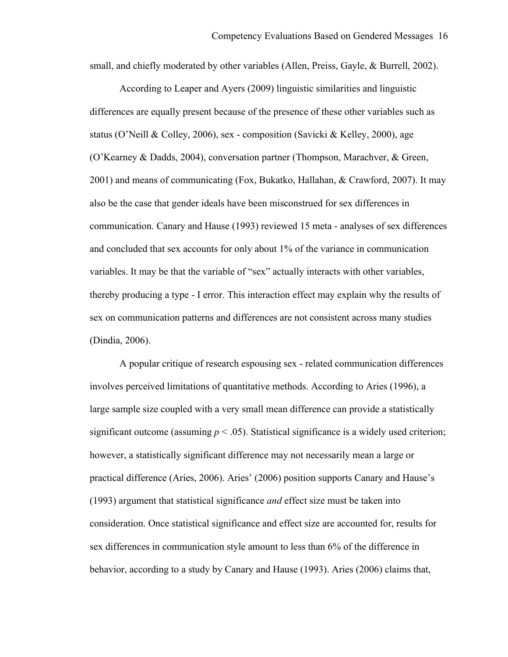small, and chiefly moderated by other variables (Allen, Preiss, Gayle, & Burrell, 2002).

According to Leaper and Ayers (2009) linguistic similarities and linguistic differences are equally present because of the presence of these other variables such as status (O'Neill & Colley, 2006), sex - composition (Savicki & Kelley, 2000), age (O'Kearney & Dadds, 2004), conversation partner (Thompson, Marachver, & Green, 2001) and means of communicating (Fox, Bukatko, Hallahan, & Crawford, 2007). It may also be the case that gender ideals have been misconstrued for sex differences in communication. Canary and Hause (1993) reviewed 15 meta - analyses of sex differences and concluded that sex accounts for only about 1% of the variance in communication variables. It may be that the variable of "sex" actually interacts with other variables, thereby producing a type - I error. This interaction effect may explain why the results of sex on communication patterns and differences are not consistent across many studies (Dindia, 2006).

A popular critique of research espousing sex - related communication differences involves perceived limitations of quantitative methods. According to Aries (1996), a large sample size coupled with a very small mean difference can provide a statistically significant outcome (assuming  $p < .05$ ). Statistical significance is a widely used criterion; however, a statistically significant difference may not necessarily mean a large or practical difference (Aries, 2006). Aries' (2006) position supports Canary and Hause's (1993) argument that statistical significance *and* effect size must be taken into consideration. Once statistical significance and effect size are accounted for, results for sex differences in communication style amount to less than 6% of the difference in behavior, according to a study by Canary and Hause (1993). Aries (2006) claims that,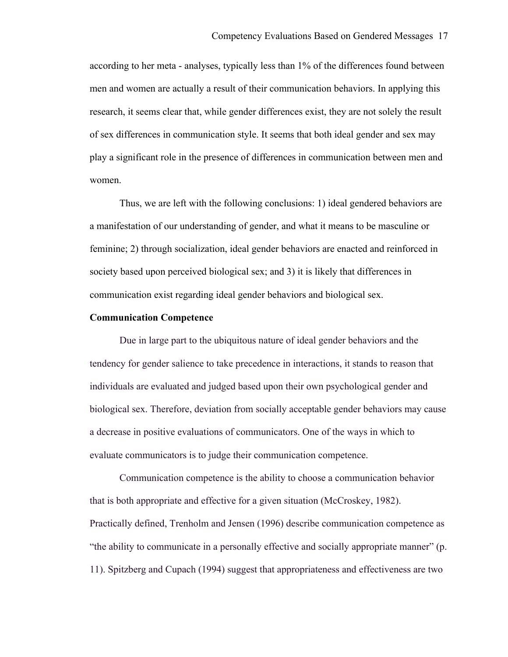according to her meta - analyses, typically less than 1% of the differences found between men and women are actually a result of their communication behaviors. In applying this research, it seems clear that, while gender differences exist, they are not solely the result of sex differences in communication style. It seems that both ideal gender and sex may play a significant role in the presence of differences in communication between men and women.

Thus, we are left with the following conclusions: 1) ideal gendered behaviors are a manifestation of our understanding of gender, and what it means to be masculine or feminine; 2) through socialization, ideal gender behaviors are enacted and reinforced in society based upon perceived biological sex; and 3) it is likely that differences in communication exist regarding ideal gender behaviors and biological sex.

#### **Communication Competence**

Due in large part to the ubiquitous nature of ideal gender behaviors and the tendency for gender salience to take precedence in interactions, it stands to reason that individuals are evaluated and judged based upon their own psychological gender and biological sex. Therefore, deviation from socially acceptable gender behaviors may cause a decrease in positive evaluations of communicators. One of the ways in which to evaluate communicators is to judge their communication competence.

Communication competence is the ability to choose a communication behavior that is both appropriate and effective for a given situation (McCroskey, 1982). Practically defined, Trenholm and Jensen (1996) describe communication competence as "the ability to communicate in a personally effective and socially appropriate manner" (p. 11). Spitzberg and Cupach (1994) suggest that appropriateness and effectiveness are two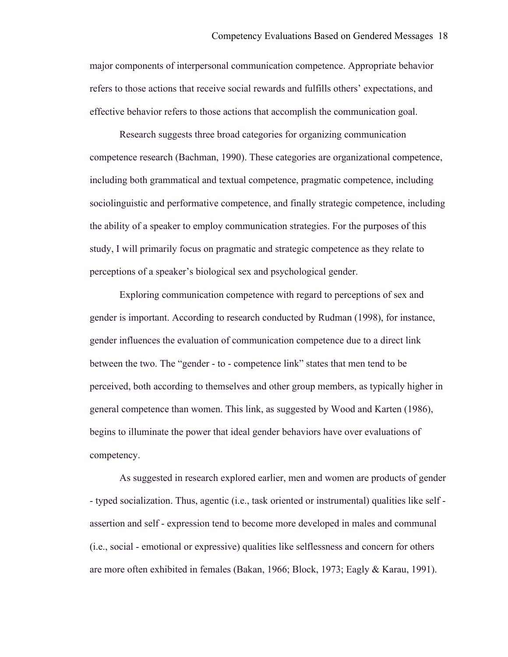major components of interpersonal communication competence. Appropriate behavior refers to those actions that receive social rewards and fulfills others' expectations, and effective behavior refers to those actions that accomplish the communication goal.

Research suggests three broad categories for organizing communication competence research (Bachman, 1990). These categories are organizational competence, including both grammatical and textual competence, pragmatic competence, including sociolinguistic and performative competence, and finally strategic competence, including the ability of a speaker to employ communication strategies. For the purposes of this study, I will primarily focus on pragmatic and strategic competence as they relate to perceptions of a speaker's biological sex and psychological gender.

Exploring communication competence with regard to perceptions of sex and gender is important. According to research conducted by Rudman (1998), for instance, gender influences the evaluation of communication competence due to a direct link between the two. The "gender - to - competence link" states that men tend to be perceived, both according to themselves and other group members, as typically higher in general competence than women. This link, as suggested by Wood and Karten (1986), begins to illuminate the power that ideal gender behaviors have over evaluations of competency.

As suggested in research explored earlier, men and women are products of gender - typed socialization. Thus, agentic (i.e., task oriented or instrumental) qualities like self assertion and self - expression tend to become more developed in males and communal (i.e., social - emotional or expressive) qualities like selflessness and concern for others are more often exhibited in females (Bakan, 1966; Block, 1973; Eagly & Karau, 1991).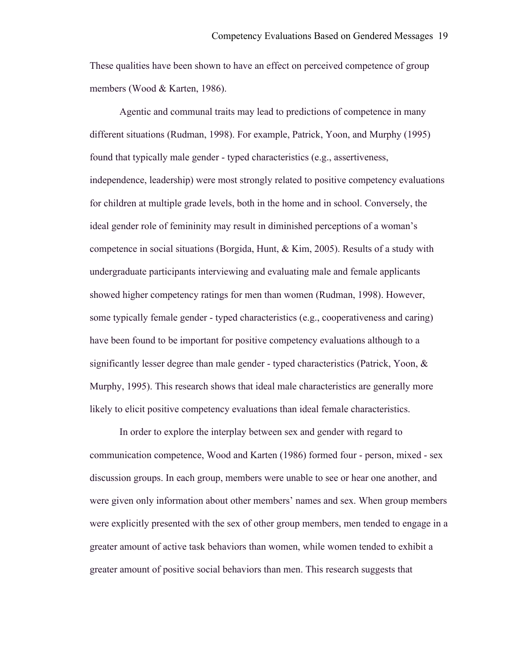These qualities have been shown to have an effect on perceived competence of group members (Wood & Karten, 1986).

Agentic and communal traits may lead to predictions of competence in many different situations (Rudman, 1998). For example, Patrick, Yoon, and Murphy (1995) found that typically male gender - typed characteristics (e.g., assertiveness, independence, leadership) were most strongly related to positive competency evaluations for children at multiple grade levels, both in the home and in school. Conversely, the ideal gender role of femininity may result in diminished perceptions of a woman's competence in social situations (Borgida, Hunt, & Kim, 2005). Results of a study with undergraduate participants interviewing and evaluating male and female applicants showed higher competency ratings for men than women (Rudman, 1998). However, some typically female gender - typed characteristics (e.g., cooperativeness and caring) have been found to be important for positive competency evaluations although to a significantly lesser degree than male gender - typed characteristics (Patrick, Yoon,  $\&$ Murphy, 1995). This research shows that ideal male characteristics are generally more likely to elicit positive competency evaluations than ideal female characteristics.

In order to explore the interplay between sex and gender with regard to communication competence, Wood and Karten (1986) formed four - person, mixed - sex discussion groups. In each group, members were unable to see or hear one another, and were given only information about other members' names and sex. When group members were explicitly presented with the sex of other group members, men tended to engage in a greater amount of active task behaviors than women, while women tended to exhibit a greater amount of positive social behaviors than men. This research suggests that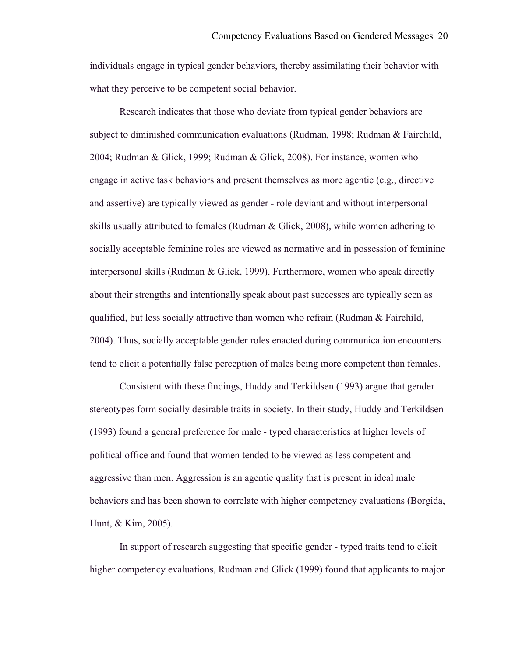individuals engage in typical gender behaviors, thereby assimilating their behavior with what they perceive to be competent social behavior.

Research indicates that those who deviate from typical gender behaviors are subject to diminished communication evaluations (Rudman, 1998; Rudman & Fairchild, 2004; Rudman & Glick, 1999; Rudman & Glick, 2008). For instance, women who engage in active task behaviors and present themselves as more agentic (e.g., directive and assertive) are typically viewed as gender - role deviant and without interpersonal skills usually attributed to females (Rudman & Glick, 2008), while women adhering to socially acceptable feminine roles are viewed as normative and in possession of feminine interpersonal skills (Rudman & Glick, 1999). Furthermore, women who speak directly about their strengths and intentionally speak about past successes are typically seen as qualified, but less socially attractive than women who refrain (Rudman  $\&$  Fairchild, 2004). Thus, socially acceptable gender roles enacted during communication encounters tend to elicit a potentially false perception of males being more competent than females.

Consistent with these findings, Huddy and Terkildsen (1993) argue that gender stereotypes form socially desirable traits in society. In their study, Huddy and Terkildsen (1993) found a general preference for male - typed characteristics at higher levels of political office and found that women tended to be viewed as less competent and aggressive than men. Aggression is an agentic quality that is present in ideal male behaviors and has been shown to correlate with higher competency evaluations (Borgida, Hunt, & Kim, 2005).

In support of research suggesting that specific gender - typed traits tend to elicit higher competency evaluations, Rudman and Glick (1999) found that applicants to major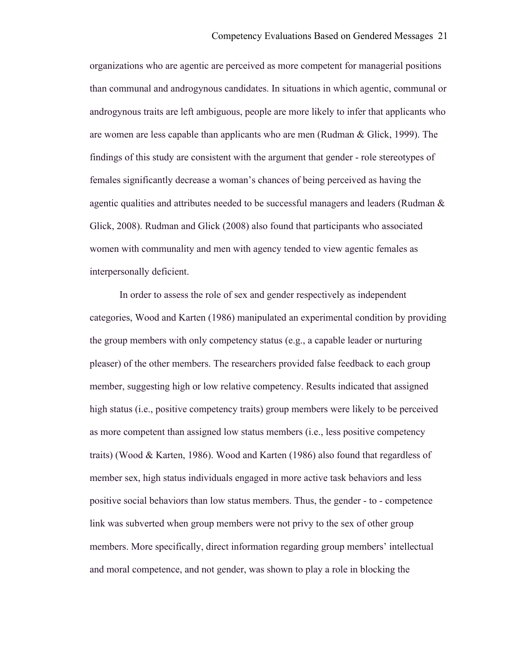organizations who are agentic are perceived as more competent for managerial positions than communal and androgynous candidates. In situations in which agentic, communal or androgynous traits are left ambiguous, people are more likely to infer that applicants who are women are less capable than applicants who are men (Rudman & Glick, 1999). The findings of this study are consistent with the argument that gender - role stereotypes of females significantly decrease a woman's chances of being perceived as having the agentic qualities and attributes needed to be successful managers and leaders (Rudman & Glick, 2008). Rudman and Glick (2008) also found that participants who associated women with communality and men with agency tended to view agentic females as interpersonally deficient.

In order to assess the role of sex and gender respectively as independent categories, Wood and Karten (1986) manipulated an experimental condition by providing the group members with only competency status (e.g., a capable leader or nurturing pleaser) of the other members. The researchers provided false feedback to each group member, suggesting high or low relative competency. Results indicated that assigned high status (i.e., positive competency traits) group members were likely to be perceived as more competent than assigned low status members (i.e., less positive competency traits) (Wood & Karten, 1986). Wood and Karten (1986) also found that regardless of member sex, high status individuals engaged in more active task behaviors and less positive social behaviors than low status members. Thus, the gender - to - competence link was subverted when group members were not privy to the sex of other group members. More specifically, direct information regarding group members' intellectual and moral competence, and not gender, was shown to play a role in blocking the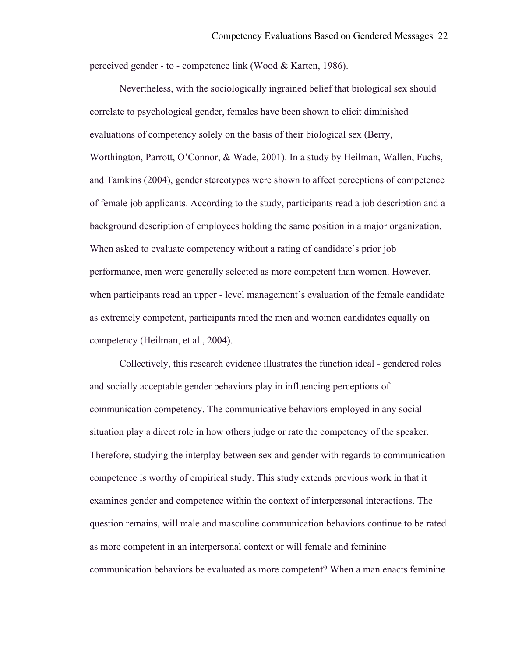perceived gender - to - competence link (Wood & Karten, 1986).

Nevertheless, with the sociologically ingrained belief that biological sex should correlate to psychological gender, females have been shown to elicit diminished evaluations of competency solely on the basis of their biological sex (Berry, Worthington, Parrott, O'Connor, & Wade, 2001). In a study by Heilman, Wallen, Fuchs, and Tamkins (2004), gender stereotypes were shown to affect perceptions of competence of female job applicants. According to the study, participants read a job description and a background description of employees holding the same position in a major organization. When asked to evaluate competency without a rating of candidate's prior job performance, men were generally selected as more competent than women. However, when participants read an upper - level management's evaluation of the female candidate as extremely competent, participants rated the men and women candidates equally on competency (Heilman, et al., 2004).

Collectively, this research evidence illustrates the function ideal - gendered roles and socially acceptable gender behaviors play in influencing perceptions of communication competency. The communicative behaviors employed in any social situation play a direct role in how others judge or rate the competency of the speaker. Therefore, studying the interplay between sex and gender with regards to communication competence is worthy of empirical study. This study extends previous work in that it examines gender and competence within the context of interpersonal interactions. The question remains, will male and masculine communication behaviors continue to be rated as more competent in an interpersonal context or will female and feminine communication behaviors be evaluated as more competent? When a man enacts feminine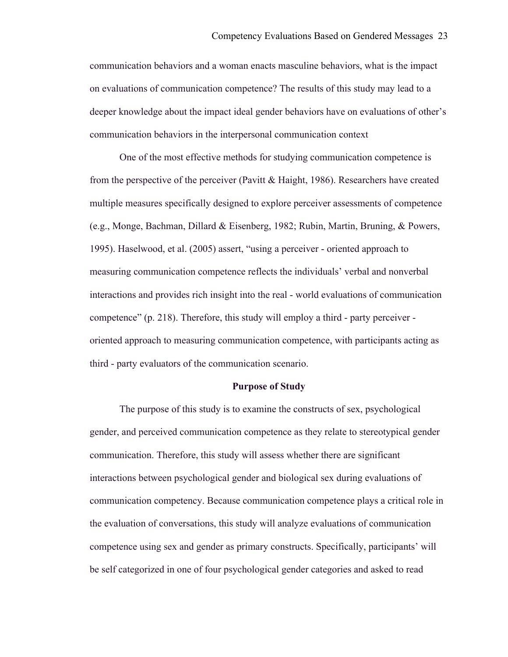communication behaviors and a woman enacts masculine behaviors, what is the impact on evaluations of communication competence? The results of this study may lead to a deeper knowledge about the impact ideal gender behaviors have on evaluations of other's communication behaviors in the interpersonal communication context

One of the most effective methods for studying communication competence is from the perspective of the perceiver (Pavitt & Haight, 1986). Researchers have created multiple measures specifically designed to explore perceiver assessments of competence (e.g., Monge, Bachman, Dillard & Eisenberg, 1982; Rubin, Martin, Bruning, & Powers, 1995). Haselwood, et al. (2005) assert, "using a perceiver - oriented approach to measuring communication competence reflects the individuals' verbal and nonverbal interactions and provides rich insight into the real - world evaluations of communication competence" (p. 218). Therefore, this study will employ a third - party perceiver oriented approach to measuring communication competence, with participants acting as third - party evaluators of the communication scenario.

#### **Purpose of Study**

The purpose of this study is to examine the constructs of sex, psychological gender, and perceived communication competence as they relate to stereotypical gender communication. Therefore, this study will assess whether there are significant interactions between psychological gender and biological sex during evaluations of communication competency. Because communication competence plays a critical role in the evaluation of conversations, this study will analyze evaluations of communication competence using sex and gender as primary constructs. Specifically, participants' will be self categorized in one of four psychological gender categories and asked to read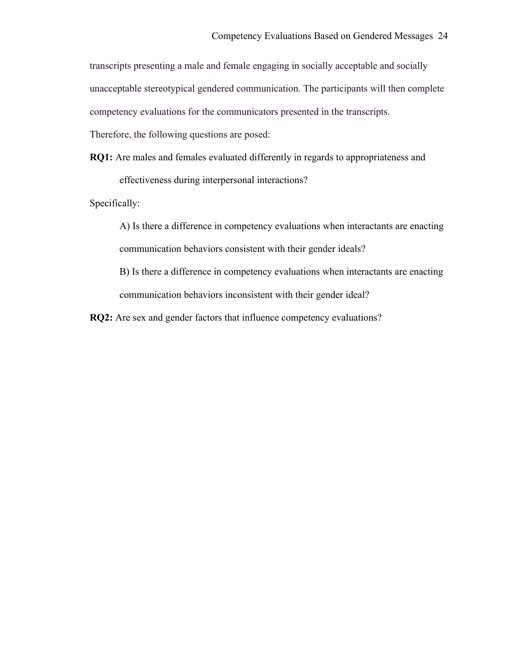transcripts presenting a male and female engaging in socially acceptable and socially unacceptable stereotypical gendered communication. The participants will then complete competency evaluations for the communicators presented in the transcripts.

Therefore, the following questions are posed:

**RQ1:** Are males and females evaluated differently in regards to appropriateness and

effectiveness during interpersonal interactions?

Specifically:

A) Is there a difference in competency evaluations when interactants are enacting communication behaviors consistent with their gender ideals?

B) Is there a difference in competency evaluations when interactants are enacting communication behaviors inconsistent with their gender ideal?

**RQ2:** Are sex and gender factors that influence competency evaluations?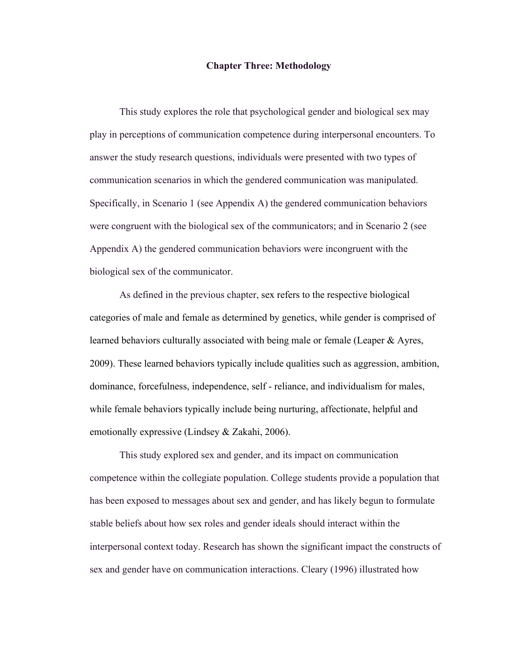#### **Chapter Three: Methodology**

This study explores the role that psychological gender and biological sex may play in perceptions of communication competence during interpersonal encounters. To answer the study research questions, individuals were presented with two types of communication scenarios in which the gendered communication was manipulated. Specifically, in Scenario 1 (see Appendix A) the gendered communication behaviors were congruent with the biological sex of the communicators; and in Scenario 2 (see Appendix A) the gendered communication behaviors were incongruent with the biological sex of the communicator.

As defined in the previous chapter, sex refers to the respective biological categories of male and female as determined by genetics, while gender is comprised of learned behaviors culturally associated with being male or female (Leaper & Ayres, 2009). These learned behaviors typically include qualities such as aggression, ambition, dominance, forcefulness, independence, self - reliance, and individualism for males, while female behaviors typically include being nurturing, affectionate, helpful and emotionally expressive (Lindsey & Zakahi, 2006).

This study explored sex and gender, and its impact on communication competence within the collegiate population. College students provide a population that has been exposed to messages about sex and gender, and has likely begun to formulate stable beliefs about how sex roles and gender ideals should interact within the interpersonal context today. Research has shown the significant impact the constructs of sex and gender have on communication interactions. Cleary (1996) illustrated how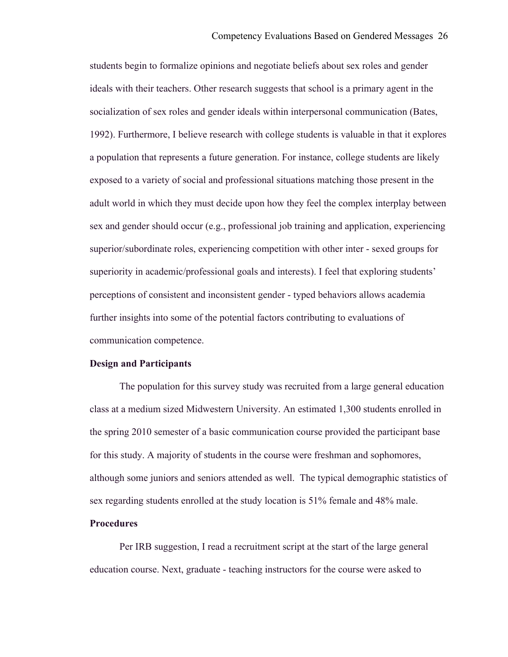students begin to formalize opinions and negotiate beliefs about sex roles and gender ideals with their teachers. Other research suggests that school is a primary agent in the socialization of sex roles and gender ideals within interpersonal communication (Bates, 1992). Furthermore, I believe research with college students is valuable in that it explores a population that represents a future generation. For instance, college students are likely exposed to a variety of social and professional situations matching those present in the adult world in which they must decide upon how they feel the complex interplay between sex and gender should occur (e.g., professional job training and application, experiencing superior/subordinate roles, experiencing competition with other inter - sexed groups for superiority in academic/professional goals and interests). I feel that exploring students' perceptions of consistent and inconsistent gender - typed behaviors allows academia further insights into some of the potential factors contributing to evaluations of communication competence.

#### **Design and Participants**

The population for this survey study was recruited from a large general education class at a medium sized Midwestern University. An estimated 1,300 students enrolled in the spring 2010 semester of a basic communication course provided the participant base for this study. A majority of students in the course were freshman and sophomores, although some juniors and seniors attended as well. The typical demographic statistics of sex regarding students enrolled at the study location is 51% female and 48% male.

### **Procedures**

Per IRB suggestion, I read a recruitment script at the start of the large general education course. Next, graduate - teaching instructors for the course were asked to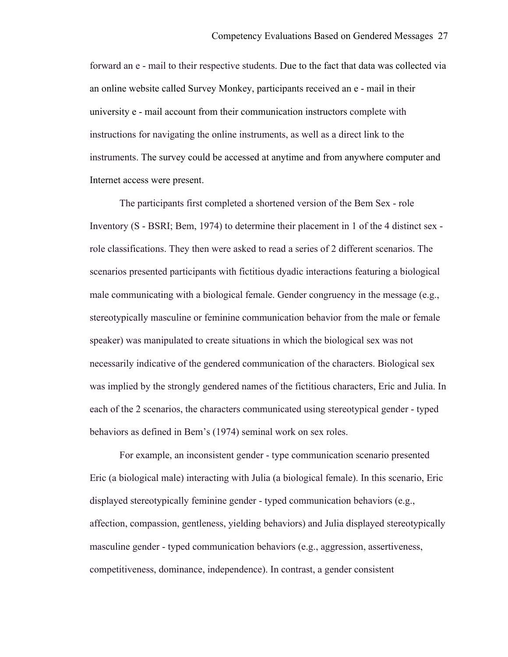forward an e - mail to their respective students. Due to the fact that data was collected via an online website called Survey Monkey, participants received an e - mail in their university e - mail account from their communication instructors complete with instructions for navigating the online instruments, as well as a direct link to the instruments. The survey could be accessed at anytime and from anywhere computer and Internet access were present.

The participants first completed a shortened version of the Bem Sex - role Inventory (S - BSRI; Bem, 1974) to determine their placement in 1 of the 4 distinct sex role classifications. They then were asked to read a series of 2 different scenarios. The scenarios presented participants with fictitious dyadic interactions featuring a biological male communicating with a biological female. Gender congruency in the message (e.g., stereotypically masculine or feminine communication behavior from the male or female speaker) was manipulated to create situations in which the biological sex was not necessarily indicative of the gendered communication of the characters. Biological sex was implied by the strongly gendered names of the fictitious characters, Eric and Julia. In each of the 2 scenarios, the characters communicated using stereotypical gender - typed behaviors as defined in Bem's (1974) seminal work on sex roles.

For example, an inconsistent gender - type communication scenario presented Eric (a biological male) interacting with Julia (a biological female). In this scenario, Eric displayed stereotypically feminine gender - typed communication behaviors (e.g., affection, compassion, gentleness, yielding behaviors) and Julia displayed stereotypically masculine gender - typed communication behaviors (e.g., aggression, assertiveness, competitiveness, dominance, independence). In contrast, a gender consistent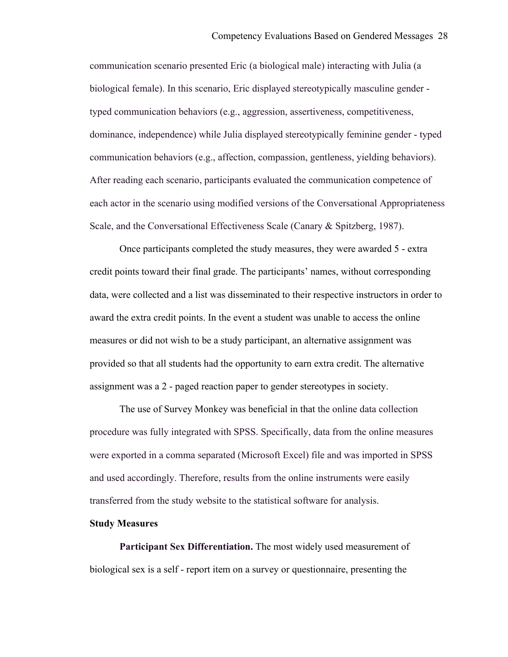communication scenario presented Eric (a biological male) interacting with Julia (a biological female). In this scenario, Eric displayed stereotypically masculine gender typed communication behaviors (e.g., aggression, assertiveness, competitiveness, dominance, independence) while Julia displayed stereotypically feminine gender - typed communication behaviors (e.g., affection, compassion, gentleness, yielding behaviors). After reading each scenario, participants evaluated the communication competence of each actor in the scenario using modified versions of the Conversational Appropriateness Scale, and the Conversational Effectiveness Scale (Canary & Spitzberg, 1987).

Once participants completed the study measures, they were awarded 5 - extra credit points toward their final grade. The participants' names, without corresponding data, were collected and a list was disseminated to their respective instructors in order to award the extra credit points. In the event a student was unable to access the online measures or did not wish to be a study participant, an alternative assignment was provided so that all students had the opportunity to earn extra credit. The alternative assignment was a 2 - paged reaction paper to gender stereotypes in society.

The use of Survey Monkey was beneficial in that the online data collection procedure was fully integrated with SPSS. Specifically, data from the online measures were exported in a comma separated (Microsoft Excel) file and was imported in SPSS and used accordingly. Therefore, results from the online instruments were easily transferred from the study website to the statistical software for analysis.

# **Study Measures**

**Participant Sex Differentiation.** The most widely used measurement of biological sex is a self - report item on a survey or questionnaire, presenting the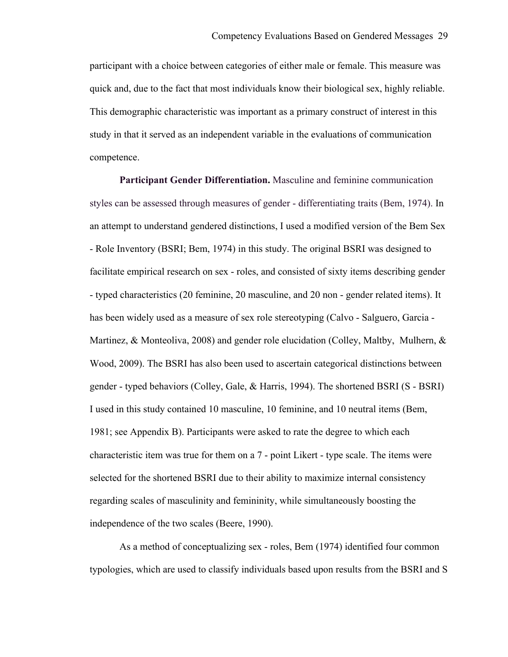participant with a choice between categories of either male or female. This measure was quick and, due to the fact that most individuals know their biological sex, highly reliable. This demographic characteristic was important as a primary construct of interest in this study in that it served as an independent variable in the evaluations of communication competence.

**Participant Gender Differentiation.** Masculine and feminine communication styles can be assessed through measures of gender - differentiating traits (Bem, 1974). In an attempt to understand gendered distinctions, I used a modified version of the Bem Sex - Role Inventory (BSRI; Bem, 1974) in this study. The original BSRI was designed to facilitate empirical research on sex - roles, and consisted of sixty items describing gender - typed characteristics (20 feminine, 20 masculine, and 20 non - gender related items). It has been widely used as a measure of sex role stereotyping (Calvo - Salguero, Garcia - Martinez, & Monteoliva, 2008) and gender role elucidation (Colley, Maltby, Mulhern, & Wood, 2009). The BSRI has also been used to ascertain categorical distinctions between gender - typed behaviors (Colley, Gale, & Harris, 1994). The shortened BSRI (S - BSRI) I used in this study contained 10 masculine, 10 feminine, and 10 neutral items (Bem, 1981; see Appendix B). Participants were asked to rate the degree to which each characteristic item was true for them on a 7 - point Likert - type scale. The items were selected for the shortened BSRI due to their ability to maximize internal consistency regarding scales of masculinity and femininity, while simultaneously boosting the independence of the two scales (Beere, 1990).

As a method of conceptualizing sex - roles, Bem (1974) identified four common typologies, which are used to classify individuals based upon results from the BSRI and S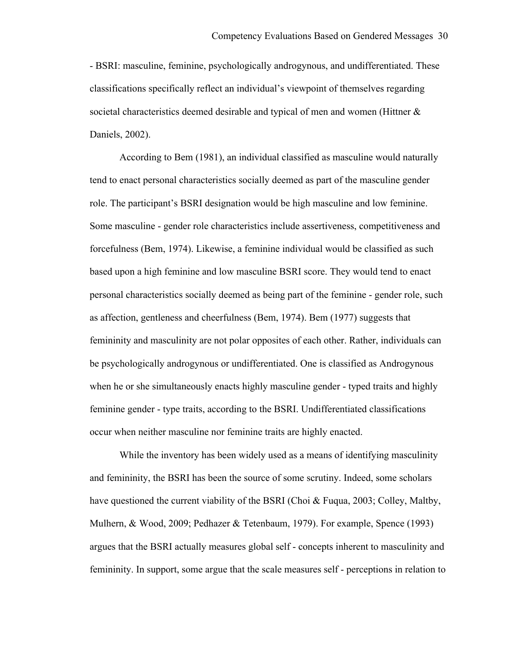- BSRI: masculine, feminine, psychologically androgynous, and undifferentiated. These classifications specifically reflect an individual's viewpoint of themselves regarding societal characteristics deemed desirable and typical of men and women (Hittner  $\&$ Daniels, 2002).

According to Bem (1981), an individual classified as masculine would naturally tend to enact personal characteristics socially deemed as part of the masculine gender role. The participant's BSRI designation would be high masculine and low feminine. Some masculine - gender role characteristics include assertiveness, competitiveness and forcefulness (Bem, 1974). Likewise, a feminine individual would be classified as such based upon a high feminine and low masculine BSRI score. They would tend to enact personal characteristics socially deemed as being part of the feminine - gender role, such as affection, gentleness and cheerfulness (Bem, 1974). Bem (1977) suggests that femininity and masculinity are not polar opposites of each other. Rather, individuals can be psychologically androgynous or undifferentiated. One is classified as Androgynous when he or she simultaneously enacts highly masculine gender - typed traits and highly feminine gender - type traits, according to the BSRI. Undifferentiated classifications occur when neither masculine nor feminine traits are highly enacted.

While the inventory has been widely used as a means of identifying masculinity and femininity, the BSRI has been the source of some scrutiny. Indeed, some scholars have questioned the current viability of the BSRI (Choi & Fuqua, 2003; Colley, Maltby, Mulhern, & Wood, 2009; Pedhazer & Tetenbaum, 1979). For example, Spence (1993) argues that the BSRI actually measures global self - concepts inherent to masculinity and femininity. In support, some argue that the scale measures self - perceptions in relation to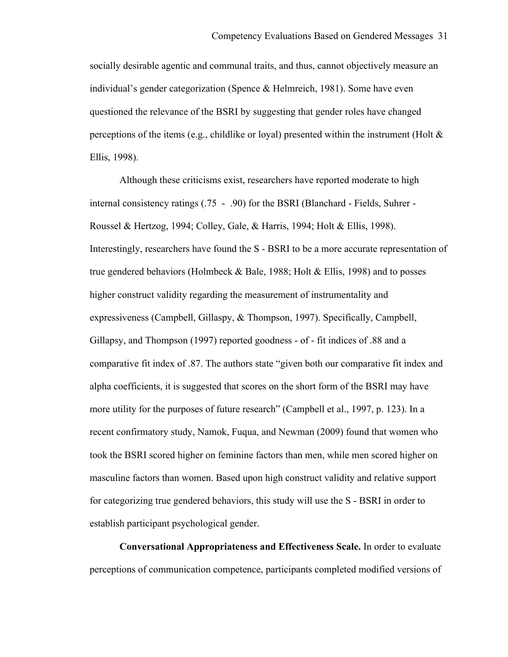socially desirable agentic and communal traits, and thus, cannot objectively measure an individual's gender categorization (Spence & Helmreich, 1981). Some have even questioned the relevance of the BSRI by suggesting that gender roles have changed perceptions of the items (e.g., childlike or loyal) presented within the instrument (Holt  $\&$ Ellis, 1998).

Although these criticisms exist, researchers have reported moderate to high internal consistency ratings (.75 - .90) for the BSRI (Blanchard - Fields, Suhrer - Roussel & Hertzog, 1994; Colley, Gale, & Harris, 1994; Holt & Ellis, 1998). Interestingly, researchers have found the S - BSRI to be a more accurate representation of true gendered behaviors (Holmbeck & Bale, 1988; Holt & Ellis, 1998) and to posses higher construct validity regarding the measurement of instrumentality and expressiveness (Campbell, Gillaspy, & Thompson, 1997). Specifically, Campbell, Gillapsy, and Thompson (1997) reported goodness - of - fit indices of .88 and a comparative fit index of .87. The authors state "given both our comparative fit index and alpha coefficients, it is suggested that scores on the short form of the BSRI may have more utility for the purposes of future research" (Campbell et al., 1997, p. 123). In a recent confirmatory study, Namok, Fuqua, and Newman (2009) found that women who took the BSRI scored higher on feminine factors than men, while men scored higher on masculine factors than women. Based upon high construct validity and relative support for categorizing true gendered behaviors, this study will use the S - BSRI in order to establish participant psychological gender.

**Conversational Appropriateness and Effectiveness Scale.** In order to evaluate perceptions of communication competence, participants completed modified versions of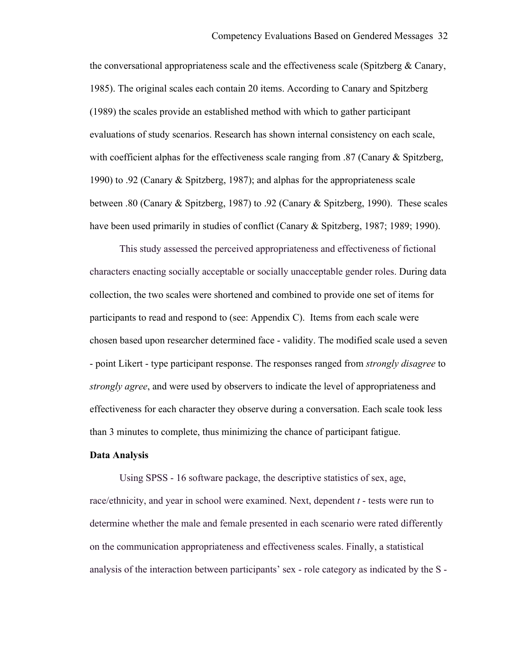the conversational appropriateness scale and the effectiveness scale (Spitzberg  $\&$  Canary, 1985). The original scales each contain 20 items. According to Canary and Spitzberg (1989) the scales provide an established method with which to gather participant evaluations of study scenarios. Research has shown internal consistency on each scale, with coefficient alphas for the effectiveness scale ranging from .87 (Canary & Spitzberg, 1990) to .92 (Canary & Spitzberg, 1987); and alphas for the appropriateness scale between .80 (Canary & Spitzberg, 1987) to .92 (Canary & Spitzberg, 1990). These scales have been used primarily in studies of conflict (Canary & Spitzberg, 1987; 1989; 1990).

This study assessed the perceived appropriateness and effectiveness of fictional characters enacting socially acceptable or socially unacceptable gender roles. During data collection, the two scales were shortened and combined to provide one set of items for participants to read and respond to (see: Appendix C). Items from each scale were chosen based upon researcher determined face - validity. The modified scale used a seven - point Likert - type participant response. The responses ranged from *strongly disagree* to *strongly agree*, and were used by observers to indicate the level of appropriateness and effectiveness for each character they observe during a conversation. Each scale took less than 3 minutes to complete, thus minimizing the chance of participant fatigue.

#### **Data Analysis**

Using SPSS - 16 software package, the descriptive statistics of sex, age, race/ethnicity, and year in school were examined. Next, dependent *t* - tests were run to determine whether the male and female presented in each scenario were rated differently on the communication appropriateness and effectiveness scales. Finally, a statistical analysis of the interaction between participants' sex - role category as indicated by the S -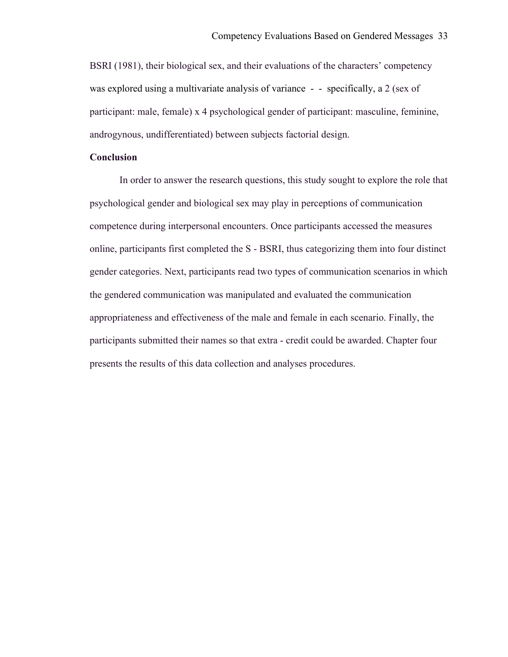BSRI (1981), their biological sex, and their evaluations of the characters' competency was explored using a multivariate analysis of variance - - specifically, a 2 (sex of participant: male, female) x 4 psychological gender of participant: masculine, feminine, androgynous, undifferentiated) between subjects factorial design.

## **Conclusion**

In order to answer the research questions, this study sought to explore the role that psychological gender and biological sex may play in perceptions of communication competence during interpersonal encounters. Once participants accessed the measures online, participants first completed the S - BSRI, thus categorizing them into four distinct gender categories. Next, participants read two types of communication scenarios in which the gendered communication was manipulated and evaluated the communication appropriateness and effectiveness of the male and female in each scenario. Finally, the participants submitted their names so that extra - credit could be awarded. Chapter four presents the results of this data collection and analyses procedures.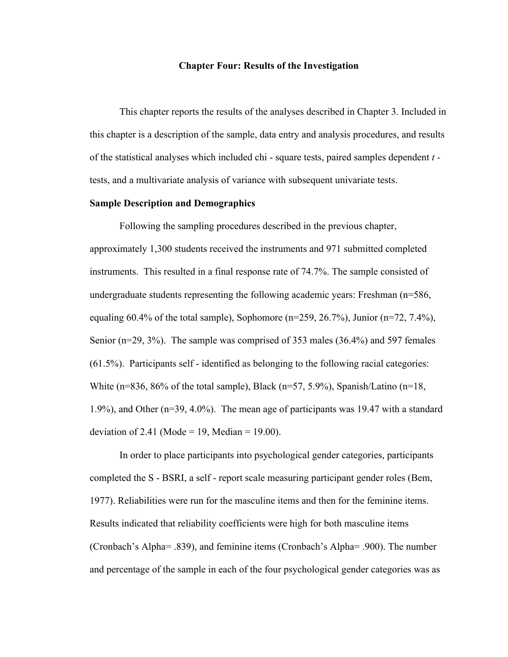#### **Chapter Four: Results of the Investigation**

This chapter reports the results of the analyses described in Chapter 3. Included in this chapter is a description of the sample, data entry and analysis procedures, and results of the statistical analyses which included chi - square tests, paired samples dependent *t*  tests, and a multivariate analysis of variance with subsequent univariate tests.

#### **Sample Description and Demographics**

Following the sampling procedures described in the previous chapter, approximately 1,300 students received the instruments and 971 submitted completed instruments. This resulted in a final response rate of 74.7%. The sample consisted of undergraduate students representing the following academic years: Freshman (n=586, equaling 60.4% of the total sample), Sophomore ( $n=259, 26.7%$ ), Junior ( $n=72, 7.4%$ ), Senior (n=29, 3%). The sample was comprised of 353 males (36.4%) and 597 females (61.5%). Participants self - identified as belonging to the following racial categories: White (n=836, 86% of the total sample), Black (n=57, 5.9%), Spanish/Latino (n=18, 1.9%), and Other (n=39, 4.0%). The mean age of participants was 19.47 with a standard deviation of 2.41 (Mode = 19, Median = 19.00).

In order to place participants into psychological gender categories, participants completed the S - BSRI, a self - report scale measuring participant gender roles (Bem, 1977). Reliabilities were run for the masculine items and then for the feminine items. Results indicated that reliability coefficients were high for both masculine items (Cronbach's Alpha= .839), and feminine items (Cronbach's Alpha= .900). The number and percentage of the sample in each of the four psychological gender categories was as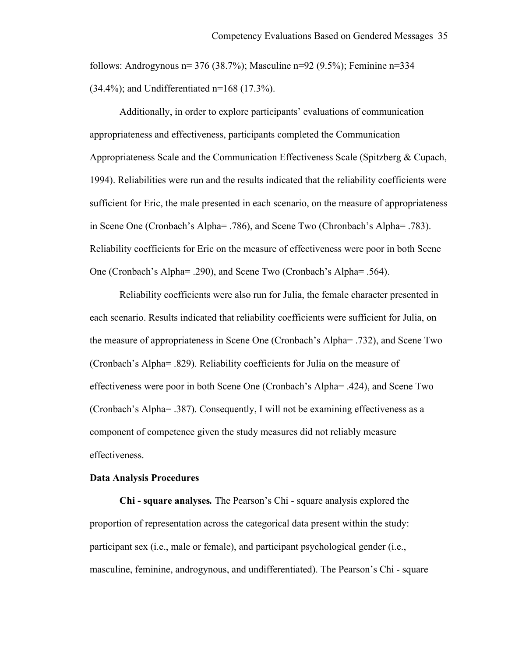follows: Androgynous  $n=$  376 (38.7%); Masculine  $n=$  92 (9.5%); Feminine  $n=$  334  $(34.4\%)$ ; and Undifferentiated n=168 (17.3%).

Additionally, in order to explore participants' evaluations of communication appropriateness and effectiveness, participants completed the Communication Appropriateness Scale and the Communication Effectiveness Scale (Spitzberg & Cupach, 1994). Reliabilities were run and the results indicated that the reliability coefficients were sufficient for Eric, the male presented in each scenario, on the measure of appropriateness in Scene One (Cronbach's Alpha= .786), and Scene Two (Chronbach's Alpha= .783). Reliability coefficients for Eric on the measure of effectiveness were poor in both Scene One (Cronbach's Alpha= .290), and Scene Two (Cronbach's Alpha= .564).

Reliability coefficients were also run for Julia, the female character presented in each scenario. Results indicated that reliability coefficients were sufficient for Julia, on the measure of appropriateness in Scene One (Cronbach's Alpha= .732), and Scene Two (Cronbach's Alpha= .829). Reliability coefficients for Julia on the measure of effectiveness were poor in both Scene One (Cronbach's Alpha= .424), and Scene Two (Cronbach's Alpha= .387). Consequently, I will not be examining effectiveness as a component of competence given the study measures did not reliably measure effectiveness.

#### **Data Analysis Procedures**

**Chi - square analyses***.* The Pearson's Chi - square analysis explored the proportion of representation across the categorical data present within the study: participant sex (i.e., male or female), and participant psychological gender (i.e., masculine, feminine, androgynous, and undifferentiated). The Pearson's Chi - square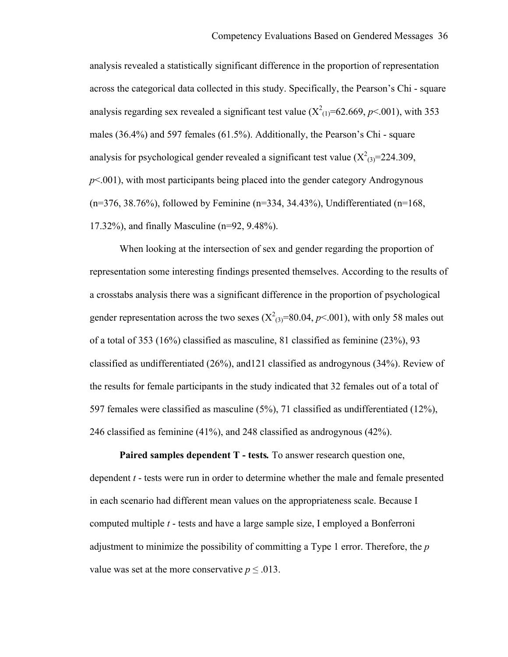analysis revealed a statistically significant difference in the proportion of representation across the categorical data collected in this study. Specifically, the Pearson's Chi - square analysis regarding sex revealed a significant test value  $(X^2_{(1)}=62.669, p<.001)$ , with 353 males (36.4%) and 597 females (61.5%). Additionally, the Pearson's Chi - square analysis for psychological gender revealed a significant test value  $(X^2_{(3)}=224.309)$ , *p*<.001), with most participants being placed into the gender category Androgynous  $(n=376, 38.76%)$ , followed by Feminine  $(n=334, 34.43%)$ , Undifferentiated  $(n=168, 16.5)$ 17.32%), and finally Masculine (n=92, 9.48%).

When looking at the intersection of sex and gender regarding the proportion of representation some interesting findings presented themselves. According to the results of a crosstabs analysis there was a significant difference in the proportion of psychological gender representation across the two sexes  $(X_{(3)}^2=80.04, p<.001)$ , with only 58 males out of a total of 353 (16%) classified as masculine, 81 classified as feminine (23%), 93 classified as undifferentiated (26%), and121 classified as androgynous (34%). Review of the results for female participants in the study indicated that 32 females out of a total of 597 females were classified as masculine (5%), 71 classified as undifferentiated (12%), 246 classified as feminine (41%), and 248 classified as androgynous (42%).

**Paired samples dependent T - tests***.* To answer research question one, dependent *t* - tests were run in order to determine whether the male and female presented in each scenario had different mean values on the appropriateness scale. Because I computed multiple *t* - tests and have a large sample size, I employed a Bonferroni adjustment to minimize the possibility of committing a Type 1 error. Therefore, the *p* value was set at the more conservative  $p \leq 0.013$ .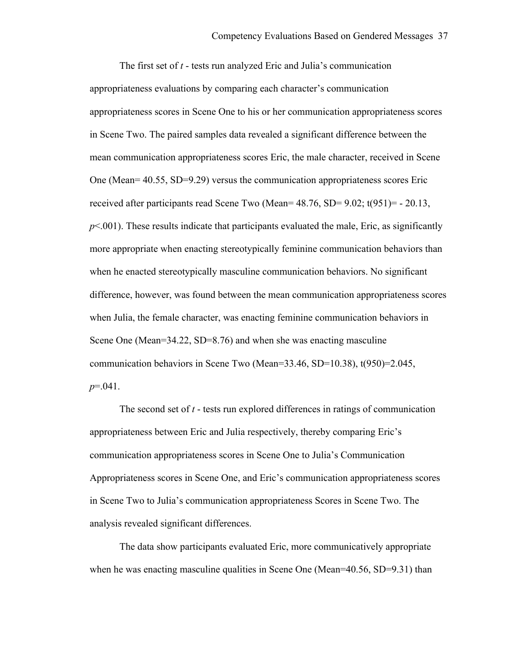The first set of *t* - tests run analyzed Eric and Julia's communication appropriateness evaluations by comparing each character's communication appropriateness scores in Scene One to his or her communication appropriateness scores in Scene Two. The paired samples data revealed a significant difference between the mean communication appropriateness scores Eric, the male character, received in Scene One (Mean= 40.55, SD=9.29) versus the communication appropriateness scores Eric received after participants read Scene Two (Mean= 48.76, SD= 9.02; t(951)= - 20.13,  $p<.001$ ). These results indicate that participants evaluated the male, Eric, as significantly more appropriate when enacting stereotypically feminine communication behaviors than when he enacted stereotypically masculine communication behaviors. No significant difference, however, was found between the mean communication appropriateness scores when Julia, the female character, was enacting feminine communication behaviors in Scene One (Mean=34.22, SD=8.76) and when she was enacting masculine communication behaviors in Scene Two (Mean=33.46, SD=10.38), t(950)=2.045, *p*=.041.

The second set of *t* - tests run explored differences in ratings of communication appropriateness between Eric and Julia respectively, thereby comparing Eric's communication appropriateness scores in Scene One to Julia's Communication Appropriateness scores in Scene One, and Eric's communication appropriateness scores in Scene Two to Julia's communication appropriateness Scores in Scene Two. The analysis revealed significant differences.

The data show participants evaluated Eric, more communicatively appropriate when he was enacting masculine qualities in Scene One (Mean=40.56, SD=9.31) than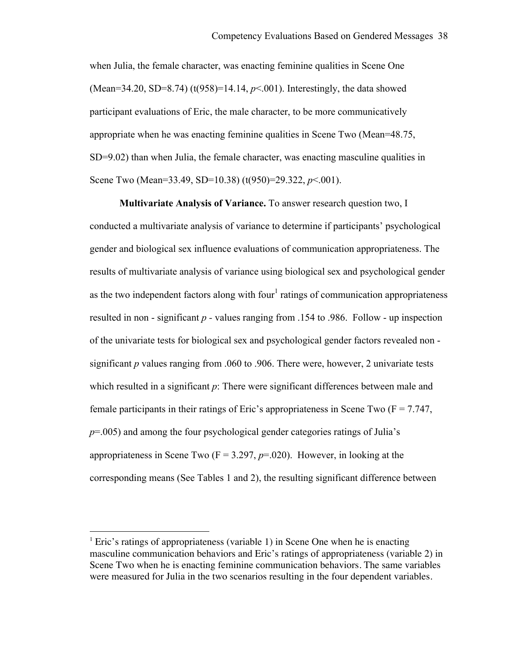when Julia, the female character, was enacting feminine qualities in Scene One (Mean=34.20, SD=8.74) (t(958)=14.14, *p*<.001). Interestingly, the data showed participant evaluations of Eric, the male character, to be more communicatively appropriate when he was enacting feminine qualities in Scene Two (Mean=48.75, SD=9.02) than when Julia, the female character, was enacting masculine qualities in Scene Two (Mean=33.49, SD=10.38) (t(950)=29.322, *p*<.001).

**Multivariate Analysis of Variance.** To answer research question two, I conducted a multivariate analysis of variance to determine if participants' psychological gender and biological sex influence evaluations of communication appropriateness. The results of multivariate analysis of variance using biological sex and psychological gender as the two independent factors along with four<sup>1</sup> ratings of communication appropriateness resulted in non - significant *p -* values ranging from .154 to .986. Follow - up inspection of the univariate tests for biological sex and psychological gender factors revealed non significant *p* values ranging from .060 to .906. There were, however, 2 univariate tests which resulted in a significant *p*: There were significant differences between male and female participants in their ratings of Eric's appropriateness in Scene Two  $(F = 7.747)$ , *p*=.005) and among the four psychological gender categories ratings of Julia's appropriateness in Scene Two  $(F = 3.297, p = .020)$ . However, in looking at the corresponding means (See Tables 1 and 2), the resulting significant difference between

!!!!!!!!!!!!!!!!!!!!!!!!!!!!!!!!!!!!!!!!!!!!!!!!!!!!!!

<sup>&</sup>lt;sup>1</sup> Eric's ratings of appropriateness (variable 1) in Scene One when he is enacting masculine communication behaviors and Eric's ratings of appropriateness (variable 2) in Scene Two when he is enacting feminine communication behaviors. The same variables were measured for Julia in the two scenarios resulting in the four dependent variables.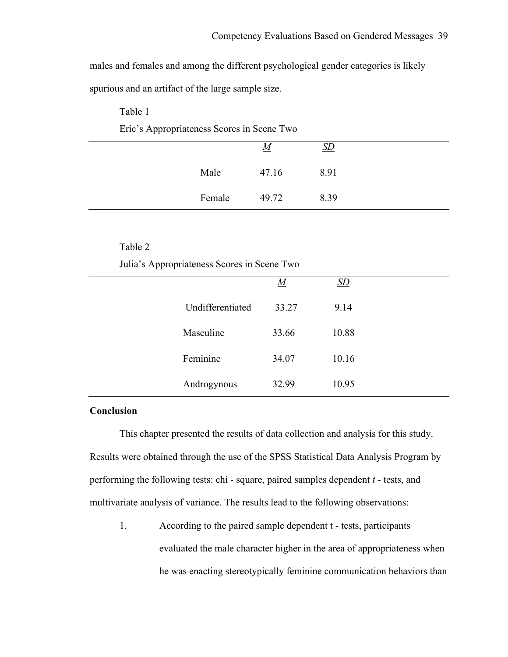males and females and among the different psychological gender categories is likely spurious and an artifact of the large sample size.

| Eric's Appropriateness Scores in Scene Two |        |          |      |  |  |  |
|--------------------------------------------|--------|----------|------|--|--|--|
|                                            |        | <u>M</u> |      |  |  |  |
|                                            | Male   | 47.16    | 8.91 |  |  |  |
|                                            | Female | 49.72    | 8.39 |  |  |  |

# Table 2

Table 1

Julia's Appropriateness Scores in Scene Two

|                  | $\underline{M}$ | $\underline{SD}$ |  |
|------------------|-----------------|------------------|--|
| Undifferentiated | 33.27           | 9.14             |  |
| Masculine        | 33.66           | 10.88            |  |
| Feminine         | 34.07           | 10.16            |  |
| Androgynous      | 32.99           | 10.95            |  |

# **Conclusion**

This chapter presented the results of data collection and analysis for this study. Results were obtained through the use of the SPSS Statistical Data Analysis Program by performing the following tests: chi - square, paired samples dependent *t* - tests, and multivariate analysis of variance. The results lead to the following observations:

1. According to the paired sample dependent t - tests, participants evaluated the male character higher in the area of appropriateness when he was enacting stereotypically feminine communication behaviors than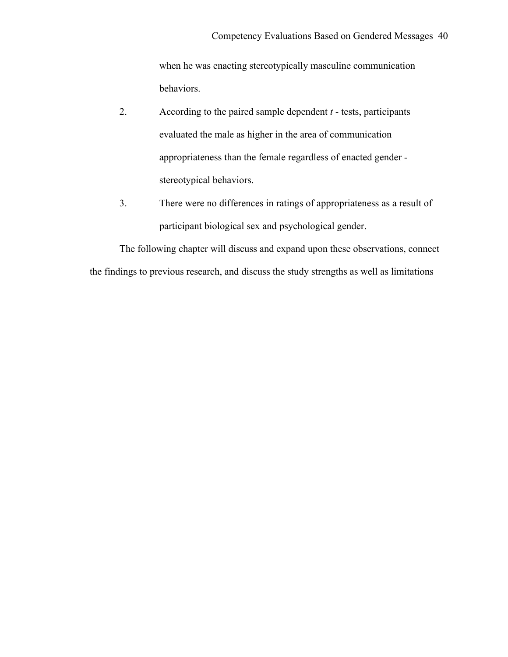when he was enacting stereotypically masculine communication behaviors.

- 2. According to the paired sample dependent *t* tests, participants evaluated the male as higher in the area of communication appropriateness than the female regardless of enacted gender stereotypical behaviors.
- 3. There were no differences in ratings of appropriateness as a result of participant biological sex and psychological gender.

The following chapter will discuss and expand upon these observations, connect the findings to previous research, and discuss the study strengths as well as limitations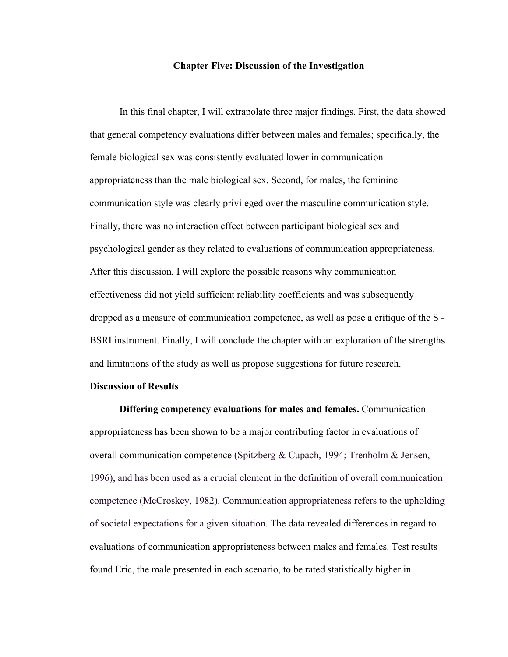#### **Chapter Five: Discussion of the Investigation**

In this final chapter, I will extrapolate three major findings. First, the data showed that general competency evaluations differ between males and females; specifically, the female biological sex was consistently evaluated lower in communication appropriateness than the male biological sex. Second, for males, the feminine communication style was clearly privileged over the masculine communication style. Finally, there was no interaction effect between participant biological sex and psychological gender as they related to evaluations of communication appropriateness. After this discussion, I will explore the possible reasons why communication effectiveness did not yield sufficient reliability coefficients and was subsequently dropped as a measure of communication competence, as well as pose a critique of the S - BSRI instrument. Finally, I will conclude the chapter with an exploration of the strengths and limitations of the study as well as propose suggestions for future research.

#### **Discussion of Results**

**Differing competency evaluations for males and females.** Communication appropriateness has been shown to be a major contributing factor in evaluations of overall communication competence (Spitzberg & Cupach, 1994; Trenholm & Jensen, 1996), and has been used as a crucial element in the definition of overall communication competence (McCroskey, 1982). Communication appropriateness refers to the upholding of societal expectations for a given situation. The data revealed differences in regard to evaluations of communication appropriateness between males and females. Test results found Eric, the male presented in each scenario, to be rated statistically higher in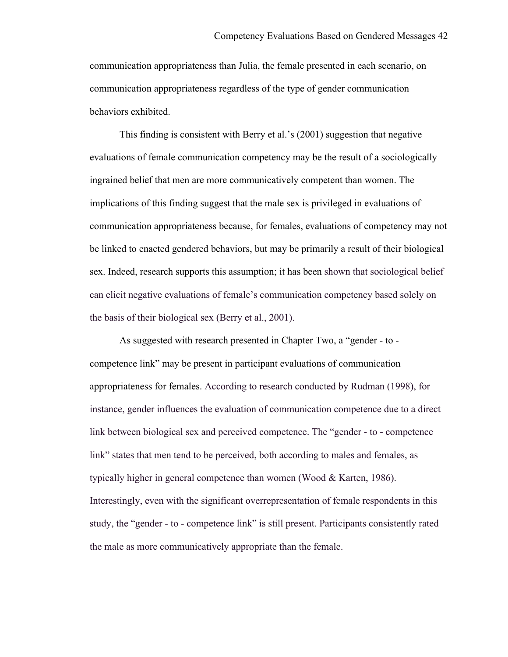communication appropriateness than Julia, the female presented in each scenario, on communication appropriateness regardless of the type of gender communication behaviors exhibited.

This finding is consistent with Berry et al.'s (2001) suggestion that negative evaluations of female communication competency may be the result of a sociologically ingrained belief that men are more communicatively competent than women. The implications of this finding suggest that the male sex is privileged in evaluations of communication appropriateness because, for females, evaluations of competency may not be linked to enacted gendered behaviors, but may be primarily a result of their biological sex. Indeed, research supports this assumption; it has been shown that sociological belief can elicit negative evaluations of female's communication competency based solely on the basis of their biological sex (Berry et al., 2001).

As suggested with research presented in Chapter Two, a "gender - to competence link" may be present in participant evaluations of communication appropriateness for females. According to research conducted by Rudman (1998), for instance, gender influences the evaluation of communication competence due to a direct link between biological sex and perceived competence. The "gender - to - competence link" states that men tend to be perceived, both according to males and females, as typically higher in general competence than women (Wood & Karten, 1986). Interestingly, even with the significant overrepresentation of female respondents in this study, the "gender - to - competence link" is still present. Participants consistently rated the male as more communicatively appropriate than the female.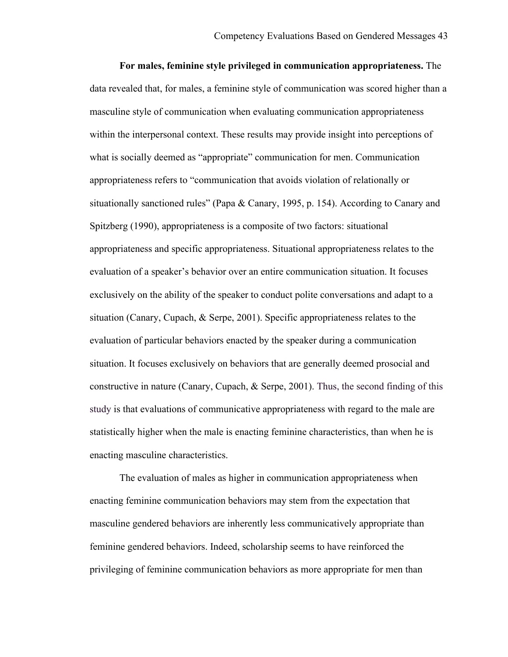**For males, feminine style privileged in communication appropriateness.** The data revealed that, for males, a feminine style of communication was scored higher than a masculine style of communication when evaluating communication appropriateness within the interpersonal context. These results may provide insight into perceptions of what is socially deemed as "appropriate" communication for men. Communication appropriateness refers to "communication that avoids violation of relationally or situationally sanctioned rules" (Papa & Canary, 1995, p. 154). According to Canary and Spitzberg (1990), appropriateness is a composite of two factors: situational appropriateness and specific appropriateness. Situational appropriateness relates to the evaluation of a speaker's behavior over an entire communication situation. It focuses exclusively on the ability of the speaker to conduct polite conversations and adapt to a situation (Canary, Cupach, & Serpe, 2001). Specific appropriateness relates to the evaluation of particular behaviors enacted by the speaker during a communication situation. It focuses exclusively on behaviors that are generally deemed prosocial and constructive in nature (Canary, Cupach, & Serpe, 2001). Thus, the second finding of this study is that evaluations of communicative appropriateness with regard to the male are statistically higher when the male is enacting feminine characteristics, than when he is enacting masculine characteristics.

The evaluation of males as higher in communication appropriateness when enacting feminine communication behaviors may stem from the expectation that masculine gendered behaviors are inherently less communicatively appropriate than feminine gendered behaviors. Indeed, scholarship seems to have reinforced the privileging of feminine communication behaviors as more appropriate for men than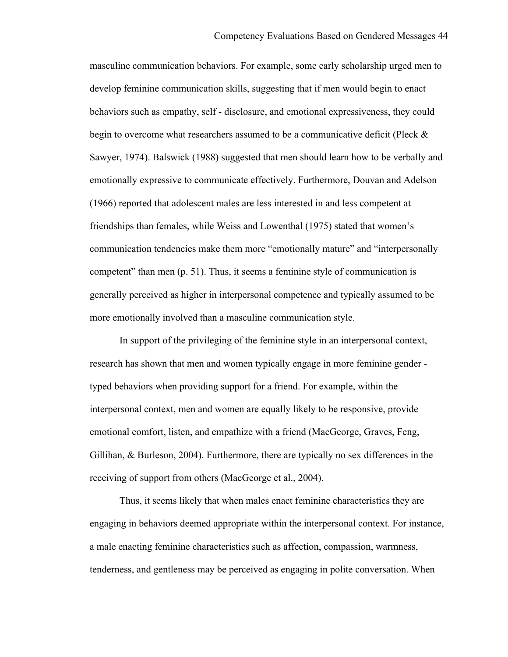masculine communication behaviors. For example, some early scholarship urged men to develop feminine communication skills, suggesting that if men would begin to enact behaviors such as empathy, self - disclosure, and emotional expressiveness, they could begin to overcome what researchers assumed to be a communicative deficit (Pleck  $\&$ Sawyer, 1974). Balswick (1988) suggested that men should learn how to be verbally and emotionally expressive to communicate effectively. Furthermore, Douvan and Adelson (1966) reported that adolescent males are less interested in and less competent at friendships than females, while Weiss and Lowenthal (1975) stated that women's communication tendencies make them more "emotionally mature" and "interpersonally competent" than men (p. 51). Thus, it seems a feminine style of communication is generally perceived as higher in interpersonal competence and typically assumed to be more emotionally involved than a masculine communication style.

In support of the privileging of the feminine style in an interpersonal context, research has shown that men and women typically engage in more feminine gender typed behaviors when providing support for a friend. For example, within the interpersonal context, men and women are equally likely to be responsive, provide emotional comfort, listen, and empathize with a friend (MacGeorge, Graves, Feng, Gillihan, & Burleson, 2004). Furthermore, there are typically no sex differences in the receiving of support from others (MacGeorge et al., 2004).

Thus, it seems likely that when males enact feminine characteristics they are engaging in behaviors deemed appropriate within the interpersonal context. For instance, a male enacting feminine characteristics such as affection, compassion, warmness, tenderness, and gentleness may be perceived as engaging in polite conversation. When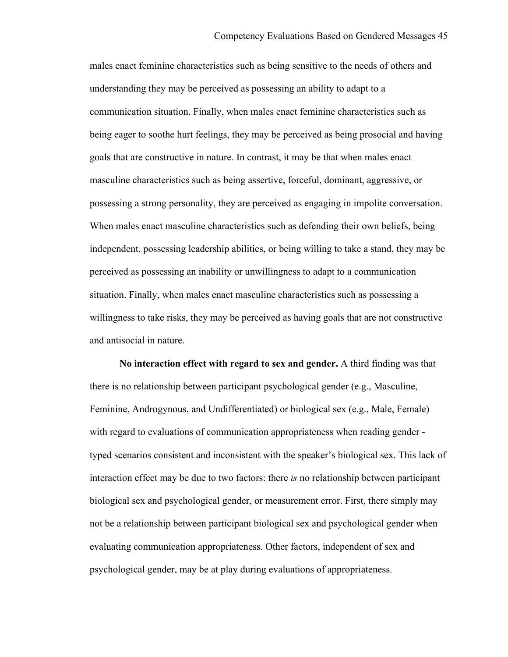males enact feminine characteristics such as being sensitive to the needs of others and understanding they may be perceived as possessing an ability to adapt to a communication situation. Finally, when males enact feminine characteristics such as being eager to soothe hurt feelings, they may be perceived as being prosocial and having goals that are constructive in nature. In contrast, it may be that when males enact masculine characteristics such as being assertive, forceful, dominant, aggressive, or possessing a strong personality, they are perceived as engaging in impolite conversation. When males enact masculine characteristics such as defending their own beliefs, being independent, possessing leadership abilities, or being willing to take a stand, they may be perceived as possessing an inability or unwillingness to adapt to a communication situation. Finally, when males enact masculine characteristics such as possessing a willingness to take risks, they may be perceived as having goals that are not constructive and antisocial in nature.

**No interaction effect with regard to sex and gender.** A third finding was that there is no relationship between participant psychological gender (e.g., Masculine, Feminine, Androgynous, and Undifferentiated) or biological sex (e.g., Male, Female) with regard to evaluations of communication appropriateness when reading gender typed scenarios consistent and inconsistent with the speaker's biological sex. This lack of interaction effect may be due to two factors: there *is* no relationship between participant biological sex and psychological gender, or measurement error. First, there simply may not be a relationship between participant biological sex and psychological gender when evaluating communication appropriateness. Other factors, independent of sex and psychological gender, may be at play during evaluations of appropriateness.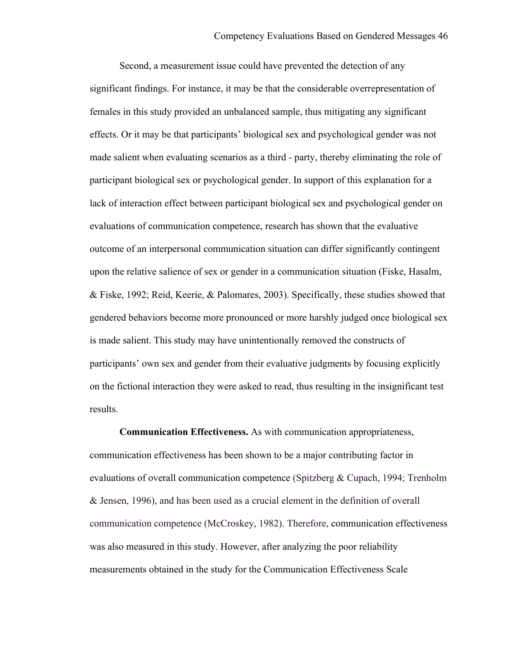Second, a measurement issue could have prevented the detection of any significant findings. For instance, it may be that the considerable overrepresentation of females in this study provided an unbalanced sample, thus mitigating any significant effects. Or it may be that participants' biological sex and psychological gender was not made salient when evaluating scenarios as a third - party, thereby eliminating the role of participant biological sex or psychological gender. In support of this explanation for a lack of interaction effect between participant biological sex and psychological gender on evaluations of communication competence, research has shown that the evaluative outcome of an interpersonal communication situation can differ significantly contingent upon the relative salience of sex or gender in a communication situation (Fiske, Hasalm, & Fiske, 1992; Reid, Keerie, & Palomares, 2003). Specifically, these studies showed that gendered behaviors become more pronounced or more harshly judged once biological sex is made salient. This study may have unintentionally removed the constructs of participants' own sex and gender from their evaluative judgments by focusing explicitly on the fictional interaction they were asked to read, thus resulting in the insignificant test results.

**Communication Effectiveness.** As with communication appropriateness, communication effectiveness has been shown to be a major contributing factor in evaluations of overall communication competence (Spitzberg & Cupach, 1994; Trenholm & Jensen, 1996), and has been used as a crucial element in the definition of overall communication competence (McCroskey, 1982). Therefore, communication effectiveness was also measured in this study. However, after analyzing the poor reliability measurements obtained in the study for the Communication Effectiveness Scale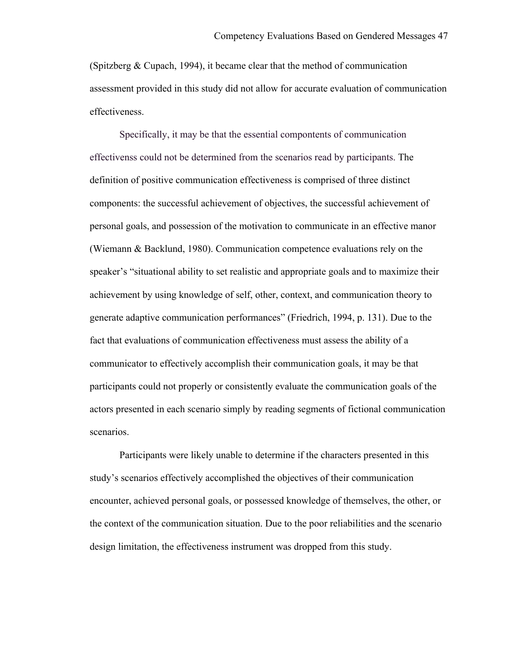(Spitzberg & Cupach, 1994), it became clear that the method of communication assessment provided in this study did not allow for accurate evaluation of communication effectiveness.

Specifically, it may be that the essential compontents of communication effectivenss could not be determined from the scenarios read by participants. The definition of positive communication effectiveness is comprised of three distinct components: the successful achievement of objectives, the successful achievement of personal goals, and possession of the motivation to communicate in an effective manor (Wiemann & Backlund, 1980). Communication competence evaluations rely on the speaker's "situational ability to set realistic and appropriate goals and to maximize their achievement by using knowledge of self, other, context, and communication theory to generate adaptive communication performances" (Friedrich, 1994, p. 131). Due to the fact that evaluations of communication effectiveness must assess the ability of a communicator to effectively accomplish their communication goals, it may be that participants could not properly or consistently evaluate the communication goals of the actors presented in each scenario simply by reading segments of fictional communication scenarios.

Participants were likely unable to determine if the characters presented in this study's scenarios effectively accomplished the objectives of their communication encounter, achieved personal goals, or possessed knowledge of themselves, the other, or the context of the communication situation. Due to the poor reliabilities and the scenario design limitation, the effectiveness instrument was dropped from this study.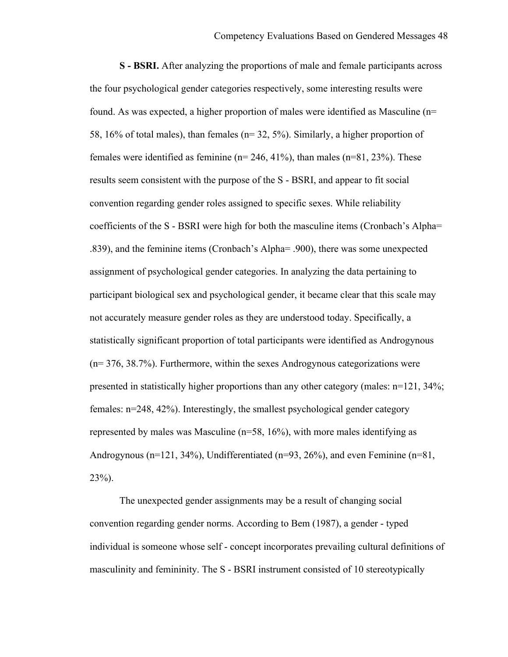**S - BSRI.** After analyzing the proportions of male and female participants across the four psychological gender categories respectively, some interesting results were found. As was expected, a higher proportion of males were identified as Masculine (n= 58, 16% of total males), than females (n= 32, 5%). Similarly, a higher proportion of females were identified as feminine ( $n= 246, 41\%$ ), than males ( $n=81, 23\%$ ). These results seem consistent with the purpose of the S - BSRI, and appear to fit social convention regarding gender roles assigned to specific sexes. While reliability coefficients of the S - BSRI were high for both the masculine items (Cronbach's Alpha= .839), and the feminine items (Cronbach's Alpha= .900), there was some unexpected assignment of psychological gender categories. In analyzing the data pertaining to participant biological sex and psychological gender, it became clear that this scale may not accurately measure gender roles as they are understood today. Specifically, a statistically significant proportion of total participants were identified as Androgynous (n= 376, 38.7%). Furthermore, within the sexes Androgynous categorizations were presented in statistically higher proportions than any other category (males: n=121, 34%; females: n=248, 42%). Interestingly, the smallest psychological gender category represented by males was Masculine (n=58, 16%), with more males identifying as Androgynous (n=121, 34%), Undifferentiated (n=93, 26%), and even Feminine (n=81,  $23\%$ ).

The unexpected gender assignments may be a result of changing social convention regarding gender norms. According to Bem (1987), a gender - typed individual is someone whose self - concept incorporates prevailing cultural definitions of masculinity and femininity. The S - BSRI instrument consisted of 10 stereotypically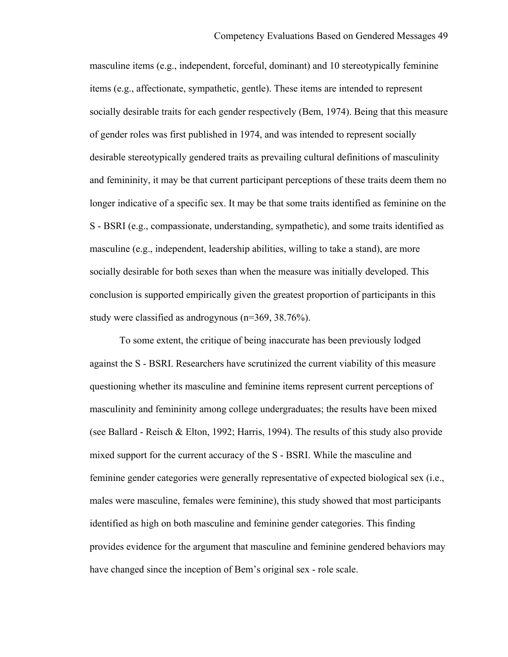masculine items (e.g., independent, forceful, dominant) and 10 stereotypically feminine items (e.g., affectionate, sympathetic, gentle). These items are intended to represent socially desirable traits for each gender respectively (Bem, 1974). Being that this measure of gender roles was first published in 1974, and was intended to represent socially desirable stereotypically gendered traits as prevailing cultural definitions of masculinity and femininity, it may be that current participant perceptions of these traits deem them no longer indicative of a specific sex. It may be that some traits identified as feminine on the S - BSRI (e.g., compassionate, understanding, sympathetic), and some traits identified as masculine (e.g., independent, leadership abilities, willing to take a stand), are more socially desirable for both sexes than when the measure was initially developed. This conclusion is supported empirically given the greatest proportion of participants in this study were classified as androgynous (n=369, 38.76%).

To some extent, the critique of being inaccurate has been previously lodged against the S - BSRI. Researchers have scrutinized the current viability of this measure questioning whether its masculine and feminine items represent current perceptions of masculinity and femininity among college undergraduates; the results have been mixed (see Ballard - Reisch & Elton, 1992; Harris, 1994). The results of this study also provide mixed support for the current accuracy of the S - BSRI. While the masculine and feminine gender categories were generally representative of expected biological sex (i.e., males were masculine, females were feminine), this study showed that most participants identified as high on both masculine and feminine gender categories. This finding provides evidence for the argument that masculine and feminine gendered behaviors may have changed since the inception of Bem's original sex - role scale.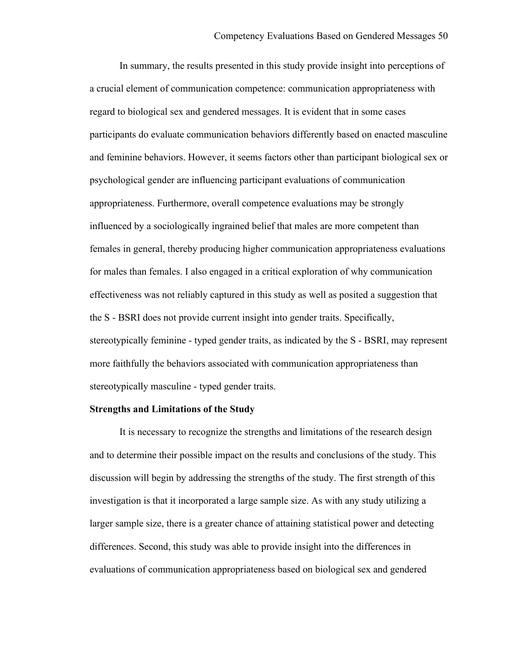In summary, the results presented in this study provide insight into perceptions of a crucial element of communication competence: communication appropriateness with regard to biological sex and gendered messages. It is evident that in some cases participants do evaluate communication behaviors differently based on enacted masculine and feminine behaviors. However, it seems factors other than participant biological sex or psychological gender are influencing participant evaluations of communication appropriateness. Furthermore, overall competence evaluations may be strongly influenced by a sociologically ingrained belief that males are more competent than females in general, thereby producing higher communication appropriateness evaluations for males than females. I also engaged in a critical exploration of why communication effectiveness was not reliably captured in this study as well as posited a suggestion that the S - BSRI does not provide current insight into gender traits. Specifically, stereotypically feminine - typed gender traits, as indicated by the S - BSRI, may represent more faithfully the behaviors associated with communication appropriateness than stereotypically masculine - typed gender traits.

## **Strengths and Limitations of the Study**

It is necessary to recognize the strengths and limitations of the research design and to determine their possible impact on the results and conclusions of the study. This discussion will begin by addressing the strengths of the study. The first strength of this investigation is that it incorporated a large sample size. As with any study utilizing a larger sample size, there is a greater chance of attaining statistical power and detecting differences. Second, this study was able to provide insight into the differences in evaluations of communication appropriateness based on biological sex and gendered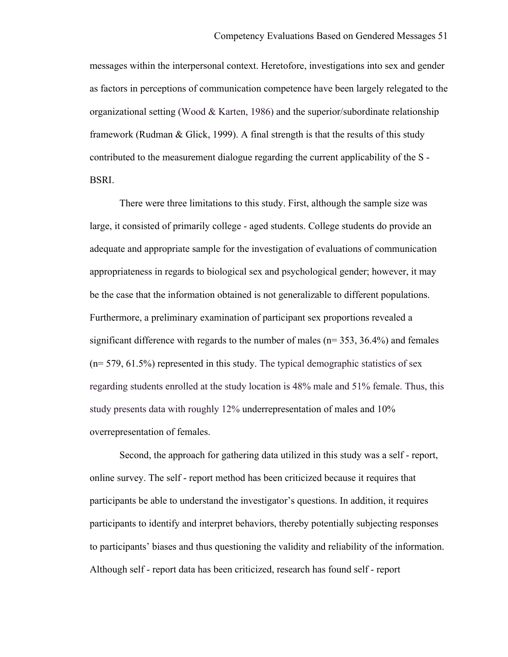messages within the interpersonal context. Heretofore, investigations into sex and gender as factors in perceptions of communication competence have been largely relegated to the organizational setting (Wood  $&$  Karten, 1986) and the superior/subordinate relationship framework (Rudman & Glick, 1999). A final strength is that the results of this study contributed to the measurement dialogue regarding the current applicability of the S - BSRI.

There were three limitations to this study. First, although the sample size was large, it consisted of primarily college - aged students. College students do provide an adequate and appropriate sample for the investigation of evaluations of communication appropriateness in regards to biological sex and psychological gender; however, it may be the case that the information obtained is not generalizable to different populations. Furthermore, a preliminary examination of participant sex proportions revealed a significant difference with regards to the number of males  $(n= 353, 36.4%)$  and females  $(n= 579, 61.5%)$  represented in this study. The typical demographic statistics of sex regarding students enrolled at the study location is 48% male and 51% female. Thus, this study presents data with roughly 12% underrepresentation of males and 10% overrepresentation of females.

Second, the approach for gathering data utilized in this study was a self - report, online survey. The self - report method has been criticized because it requires that participants be able to understand the investigator's questions. In addition, it requires participants to identify and interpret behaviors, thereby potentially subjecting responses to participants' biases and thus questioning the validity and reliability of the information. Although self - report data has been criticized, research has found self - report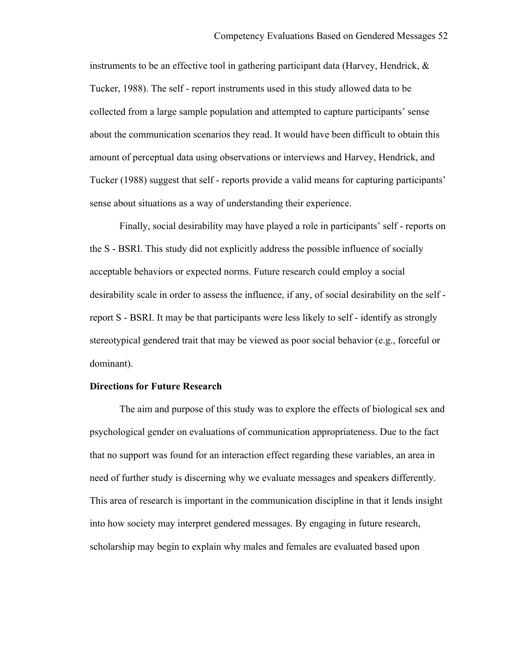instruments to be an effective tool in gathering participant data (Harvey, Hendrick,  $\&$ Tucker, 1988). The self - report instruments used in this study allowed data to be collected from a large sample population and attempted to capture participants' sense about the communication scenarios they read. It would have been difficult to obtain this amount of perceptual data using observations or interviews and Harvey, Hendrick, and Tucker (1988) suggest that self - reports provide a valid means for capturing participants' sense about situations as a way of understanding their experience.

Finally, social desirability may have played a role in participants' self - reports on the S - BSRI. This study did not explicitly address the possible influence of socially acceptable behaviors or expected norms. Future research could employ a social desirability scale in order to assess the influence, if any, of social desirability on the self report S - BSRI. It may be that participants were less likely to self - identify as strongly stereotypical gendered trait that may be viewed as poor social behavior (e.g., forceful or dominant).

## **Directions for Future Research**

The aim and purpose of this study was to explore the effects of biological sex and psychological gender on evaluations of communication appropriateness. Due to the fact that no support was found for an interaction effect regarding these variables, an area in need of further study is discerning why we evaluate messages and speakers differently. This area of research is important in the communication discipline in that it lends insight into how society may interpret gendered messages. By engaging in future research, scholarship may begin to explain why males and females are evaluated based upon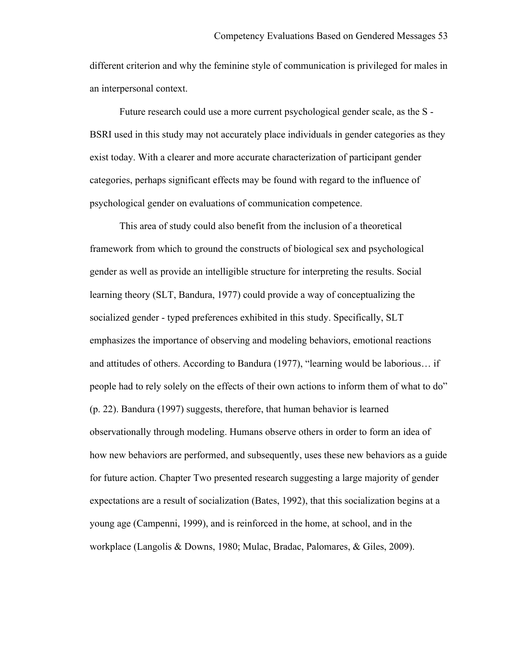different criterion and why the feminine style of communication is privileged for males in an interpersonal context.

Future research could use a more current psychological gender scale, as the S - BSRI used in this study may not accurately place individuals in gender categories as they exist today. With a clearer and more accurate characterization of participant gender categories, perhaps significant effects may be found with regard to the influence of psychological gender on evaluations of communication competence.

This area of study could also benefit from the inclusion of a theoretical framework from which to ground the constructs of biological sex and psychological gender as well as provide an intelligible structure for interpreting the results. Social learning theory (SLT, Bandura, 1977) could provide a way of conceptualizing the socialized gender - typed preferences exhibited in this study. Specifically, SLT emphasizes the importance of observing and modeling behaviors, emotional reactions and attitudes of others. According to Bandura (1977), "learning would be laborious… if people had to rely solely on the effects of their own actions to inform them of what to do" (p. 22). Bandura (1997) suggests, therefore, that human behavior is learned observationally through modeling. Humans observe others in order to form an idea of how new behaviors are performed, and subsequently, uses these new behaviors as a guide for future action. Chapter Two presented research suggesting a large majority of gender expectations are a result of socialization (Bates, 1992), that this socialization begins at a young age (Campenni, 1999), and is reinforced in the home, at school, and in the workplace (Langolis & Downs, 1980; Mulac, Bradac, Palomares, & Giles, 2009).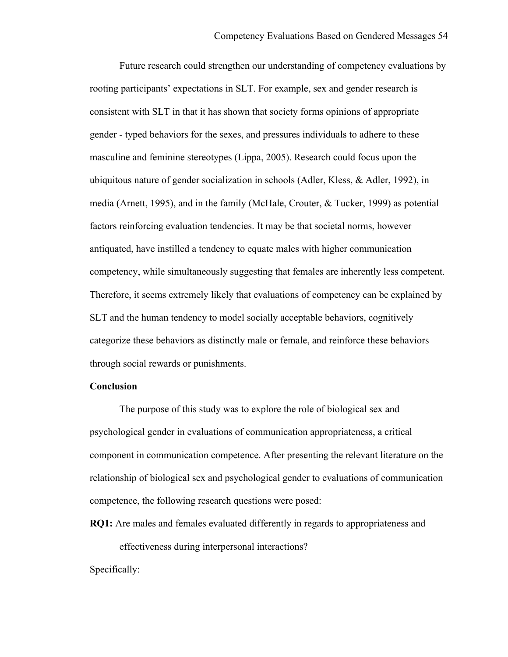Future research could strengthen our understanding of competency evaluations by rooting participants' expectations in SLT. For example, sex and gender research is consistent with SLT in that it has shown that society forms opinions of appropriate gender - typed behaviors for the sexes, and pressures individuals to adhere to these masculine and feminine stereotypes (Lippa, 2005). Research could focus upon the ubiquitous nature of gender socialization in schools (Adler, Kless, & Adler, 1992), in media (Arnett, 1995), and in the family (McHale, Crouter, & Tucker, 1999) as potential factors reinforcing evaluation tendencies. It may be that societal norms, however antiquated, have instilled a tendency to equate males with higher communication competency, while simultaneously suggesting that females are inherently less competent. Therefore, it seems extremely likely that evaluations of competency can be explained by SLT and the human tendency to model socially acceptable behaviors, cognitively categorize these behaviors as distinctly male or female, and reinforce these behaviors through social rewards or punishments.

#### **Conclusion**

The purpose of this study was to explore the role of biological sex and psychological gender in evaluations of communication appropriateness, a critical component in communication competence. After presenting the relevant literature on the relationship of biological sex and psychological gender to evaluations of communication competence, the following research questions were posed:

**RQ1:** Are males and females evaluated differently in regards to appropriateness and

effectiveness during interpersonal interactions?

Specifically: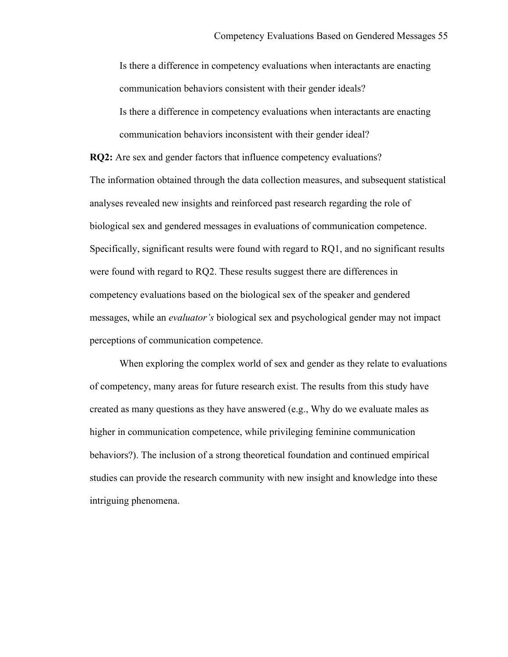Is there a difference in competency evaluations when interactants are enacting communication behaviors consistent with their gender ideals? Is there a difference in competency evaluations when interactants are enacting communication behaviors inconsistent with their gender ideal?

**RQ2:** Are sex and gender factors that influence competency evaluations? The information obtained through the data collection measures, and subsequent statistical analyses revealed new insights and reinforced past research regarding the role of biological sex and gendered messages in evaluations of communication competence. Specifically, significant results were found with regard to RQ1, and no significant results were found with regard to RQ2. These results suggest there are differences in competency evaluations based on the biological sex of the speaker and gendered messages, while an *evaluator's* biological sex and psychological gender may not impact perceptions of communication competence.

When exploring the complex world of sex and gender as they relate to evaluations of competency, many areas for future research exist. The results from this study have created as many questions as they have answered  $(e.g., Why do we evaluate males as$ higher in communication competence, while privileging feminine communication behaviors?). The inclusion of a strong theoretical foundation and continued empirical studies can provide the research community with new insight and knowledge into these intriguing phenomena.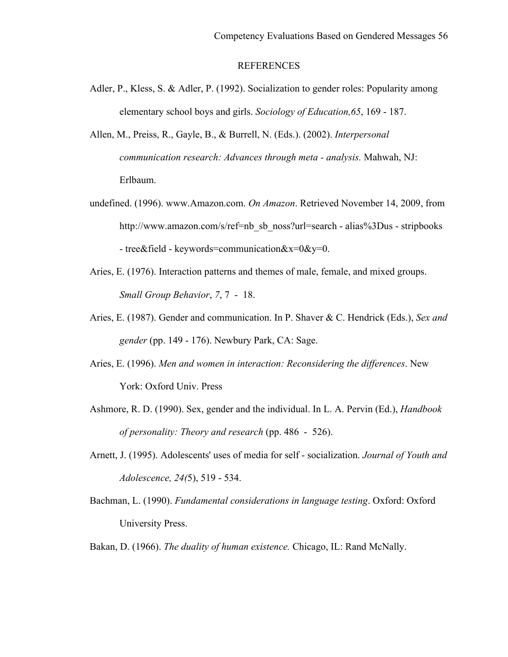## **REFERENCES**

- Adler, P., Kless, S. & Adler, P. (1992). Socialization to gender roles: Popularity among elementary school boys and girls. *Sociology of Education,65*, 169 - 187.
- Allen, M., Preiss, R., Gayle, B., & Burrell, N. (Eds.). (2002). *Interpersonal communication research: Advances through meta - analysis.* Mahwah, NJ: Erlbaum.
- undefined. (1996). www.Amazon.com. *On Amazon*. Retrieved November 14, 2009, from http://www.amazon.com/s/ref=nb\_sb\_noss?url=search - alias%3Dus - stripbooks - tree&field - keywords=communication $&x=0&y=0$ .
- Aries, E. (1976). Interaction patterns and themes of male, female, and mixed groups. *Small Group Behavior*, *7*, 7 - 18.
- Aries, E. (1987). Gender and communication. In P. Shaver & C. Hendrick (Eds.), *Sex and gender* (pp. 149 - 176). Newbury Park, CA: Sage.
- Aries, E. (1996). *Men and women in interaction: Reconsidering the differences*. New York: Oxford Univ. Press
- Ashmore, R. D. (1990). Sex, gender and the individual. In L. A. Pervin (Ed.), *Handbook of personality: Theory and research* (pp. 486 - 526).
- Arnett, J. (1995). Adolescents' uses of media for self socialization. *Journal of Youth and Adolescence, 24(*5), 519 - 534.
- Bachman, L. (1990). *Fundamental considerations in language testing*. Oxford: Oxford University Press.
- Bakan, D. (1966). *The duality of human existence.* Chicago, IL: Rand McNally.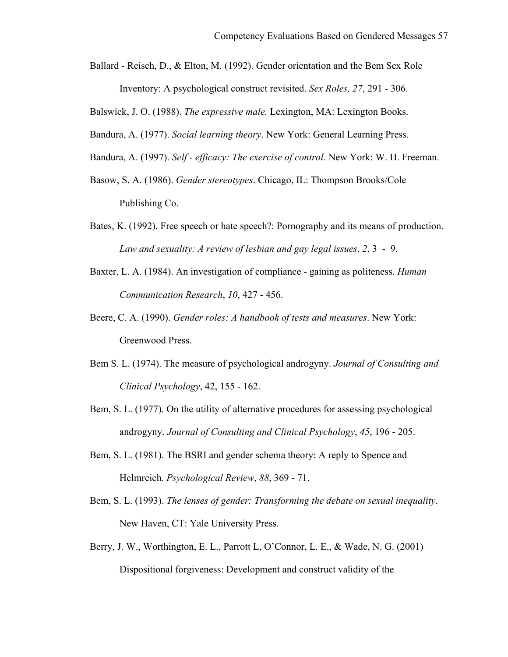Ballard - Reisch, D., & Elton, M. (1992). Gender orientation and the Bem Sex Role Inventory: A psychological construct revisited. *Sex Roles, 27*, 291 - 306.

Balswick, J. O. (1988). *The expressive male.* Lexington, MA: Lexington Books.

Bandura, A. (1977). *Social learning theory*. New York: General Learning Press.

- Bandura, A. (1997). *Self - efficacy: The exercise of control*. New York: W. H. Freeman.
- Basow, S. A. (1986). *Gender stereotypes*. Chicago, IL: Thompson Brooks/Cole Publishing Co.
- Bates, K. (1992). Free speech or hate speech?: Pornography and its means of production. *Law and sexuality: A review of lesbian and gay legal issues*, *2*, 3 - 9.
- Baxter, L. A. (1984). An investigation of compliance gaining as politeness. *Human Communication Research*, *10*, 427 - 456.
- Beere, C. A. (1990). *Gender roles: A handbook of tests and measures*. New York: Greenwood Press.
- Bem S. L. (1974). The measure of psychological androgyny. *Journal of Consulting and Clinical Psychology*, 42, 155 - 162.
- Bem, S. L. (1977). On the utility of alternative procedures for assessing psychological androgyny. *Journal of Consulting and Clinical Psychology*, *45*, 196 - 205.
- Bem, S. L. (1981). The BSRI and gender schema theory: A reply to Spence and Helmreich. *Psychological Review*, *88*, 369 - 71.
- Bem, S. L. (1993). *The lenses of gender: Transforming the debate on sexual inequality*. New Haven, CT: Yale University Press.
- Berry, J. W., Worthington, E. L., Parrott L, O'Connor, L. E., & Wade, N. G. (2001) Dispositional forgiveness: Development and construct validity of the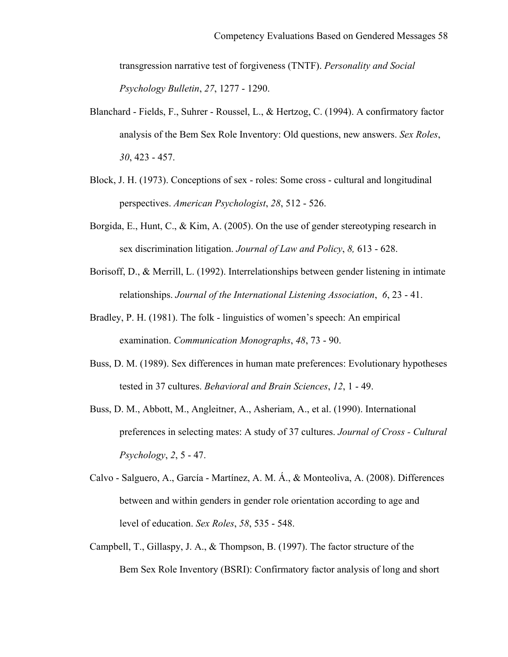transgression narrative test of forgiveness (TNTF). *Personality and Social Psychology Bulletin*, *27*, 1277 - 1290.

- Blanchard Fields, F., Suhrer Roussel, L., & Hertzog, C. (1994). A confirmatory factor analysis of the Bem Sex Role Inventory: Old questions, new answers. *Sex Roles*, *30*, 423 - 457.
- Block, J. H. (1973). Conceptions of sex roles: Some cross cultural and longitudinal perspectives. *American Psychologist*, *28*, 512 - 526.
- Borgida, E., Hunt, C., & Kim, A. (2005). On the use of gender stereotyping research in sex discrimination litigation. *Journal of Law and Policy*, *8,* 613 - 628.
- Borisoff, D., & Merrill, L. (1992). Interrelationships between gender listening in intimate relationships. *Journal of the International Listening Association*, *6*, 23 - 41.
- Bradley, P. H. (1981). The folk linguistics of women's speech: An empirical examination. *Communication Monographs*, *48*, 73 - 90.
- Buss, D. M. (1989). Sex differences in human mate preferences: Evolutionary hypotheses tested in 37 cultures. *Behavioral and Brain Sciences*, *12*, 1 - 49.
- Buss, D. M., Abbott, M., Angleitner, A., Asheriam, A., et al. (1990). International preferences in selecting mates: A study of 37 cultures. *Journal of Cross - Cultural Psychology*, *2*, 5 - 47.
- Calvo Salguero, A., García Martínez, A. M. Á., & Monteoliva, A. (2008). Differences between and within genders in gender role orientation according to age and level of education. *Sex Roles*, *58*, 535 - 548.
- Campbell, T., Gillaspy, J. A., & Thompson, B. (1997). The factor structure of the Bem Sex Role Inventory (BSRI): Confirmatory factor analysis of long and short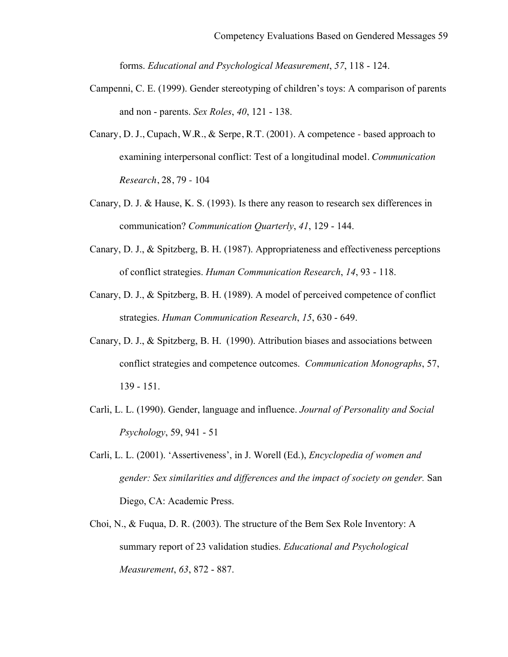forms. *Educational and Psychological Measurement*, *57*, 118 - 124.

- Campenni, C. E. (1999). Gender stereotyping of children's toys: A comparison of parents and non - parents. *Sex Roles*, *40*, 121 - 138.
- Canary, D. J., Cupach, W.R., & Serpe, R.T. (2001). A competence based approach to examining interpersonal conflict: Test of a longitudinal model. *Communication Research*, 28, 79 - 104
- Canary, D. J. & Hause, K. S. (1993). Is there any reason to research sex differences in communication? *Communication Quarterly*, *41*, 129 - 144.
- Canary, D. J., & Spitzberg, B. H. (1987). Appropriateness and effectiveness perceptions of conflict strategies. *Human Communication Research*, *14*, 93 - 118.
- Canary, D. J., & Spitzberg, B. H. (1989). A model of perceived competence of conflict strategies. *Human Communication Research*, *15*, 630 - 649.
- Canary, D. J., & Spitzberg, B. H. (1990). Attribution biases and associations between conflict strategies and competence outcomes. *Communication Monographs*, 57, 139 - 151.
- Carli, L. L. (1990). Gender, language and influence. *Journal of Personality and Social Psychology*, 59, 941 - 51
- Carli, L. L. (2001). 'Assertiveness', in J. Worell (Ed.), *Encyclopedia of women and gender: Sex similarities and differences and the impact of society on gender.* San Diego, CA: Academic Press.
- Choi, N., & Fuqua, D. R. (2003). The structure of the Bem Sex Role Inventory: A summary report of 23 validation studies. *Educational and Psychological Measurement*, *63*, 872 - 887.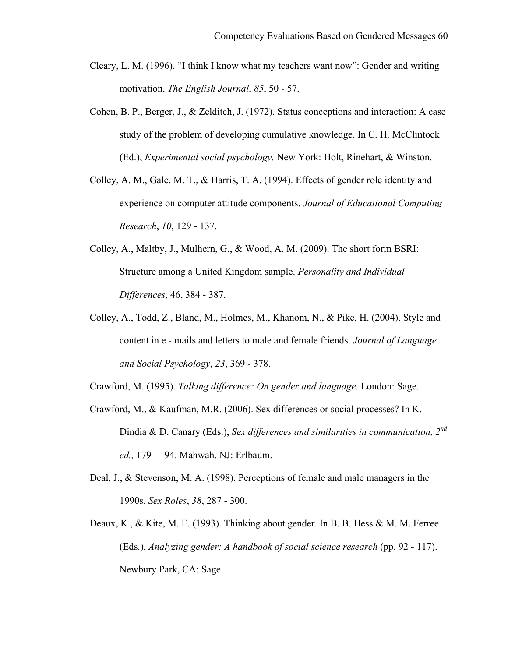- Cleary, L. M. (1996). "I think I know what my teachers want now": Gender and writing motivation. *The English Journal*, *85*, 50 - 57.
- Cohen, B. P., Berger, J., & Zelditch, J. (1972). Status conceptions and interaction: A case study of the problem of developing cumulative knowledge. In C. H. McClintock (Ed.), *Experimental social psychology.* New York: Holt, Rinehart, & Winston.
- Colley, A. M., Gale, M. T., & Harris, T. A. (1994). Effects of gender role identity and experience on computer attitude components. *Journal of Educational Computing Research*, *10*, 129 - 137.
- Colley, A., Maltby, J., Mulhern, G., & Wood, A. M. (2009). The short form BSRI: Structure among a United Kingdom sample. *Personality and Individual Differences*, 46, 384 - 387.
- Colley, A., Todd, Z., Bland, M., Holmes, M., Khanom, N., & Pike, H. (2004). Style and content in e - mails and letters to male and female friends. *Journal of Language and Social Psychology*, *23*, 369 - 378.

Crawford, M. (1995). *Talking difference: On gender and language.* London: Sage.

- Crawford, M., & Kaufman, M.R. (2006). Sex differences or social processes? In K. Dindia & D. Canary (Eds.), *Sex differences and similarities in communication, 2nd ed.,* 179 - 194. Mahwah, NJ: Erlbaum.
- Deal, J., & Stevenson, M. A. (1998). Perceptions of female and male managers in the 1990s. *Sex Roles*, *38*, 287 - 300.
- Deaux, K., & Kite, M. E. (1993). Thinking about gender. In B. B. Hess & M. M. Ferree (Eds*.*), *Analyzing gender: A handbook of social science research* (pp. 92 - 117). Newbury Park, CA: Sage.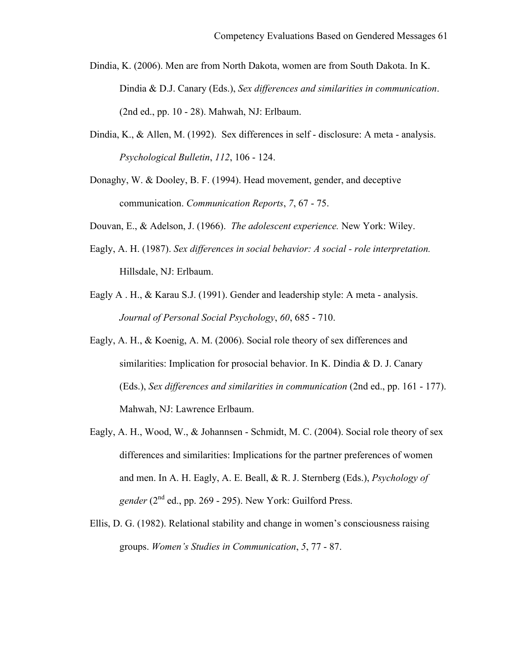- Dindia, K. (2006). Men are from North Dakota, women are from South Dakota. In K. Dindia & D.J. Canary (Eds.), *Sex differences and similarities in communication*. (2nd ed., pp. 10 - 28). Mahwah, NJ: Erlbaum.
- Dindia, K., & Allen, M. (1992). Sex differences in self disclosure: A meta analysis. *Psychological Bulletin*, *112*, 106 - 124.
- Donaghy, W. & Dooley, B. F. (1994). Head movement, gender, and deceptive communication. *Communication Reports*, *7*, 67 - 75.
- Douvan, E., & Adelson, J. (1966). *The adolescent experience.* New York: Wiley.
- Eagly, A. H. (1987). *Sex differences in social behavior: A social - role interpretation.*  Hillsdale, NJ: Erlbaum.
- Eagly A . H., & Karau S.J. (1991). Gender and leadership style: A meta analysis. *Journal of Personal Social Psychology*, *60*, 685 - 710.
- Eagly, A. H., & Koenig, A. M. (2006). Social role theory of sex differences and similarities: Implication for prosocial behavior. In K. Dindia & D. J. Canary (Eds.), *Sex differences and similarities in communication* (2nd ed., pp. 161 - 177). Mahwah, NJ: Lawrence Erlbaum.
- Eagly, A. H., Wood, W., & Johannsen Schmidt, M. C. (2004). Social role theory of sex differences and similarities: Implications for the partner preferences of women and men. In A. H. Eagly, A. E. Beall, & R. J. Sternberg (Eds.), *Psychology of gender*  $(2^{nd}$  ed., pp. 269 - 295). New York: Guilford Press.
- Ellis, D. G. (1982). Relational stability and change in women's consciousness raising groups. *Women's Studies in Communication*, *5*, 77 - 87.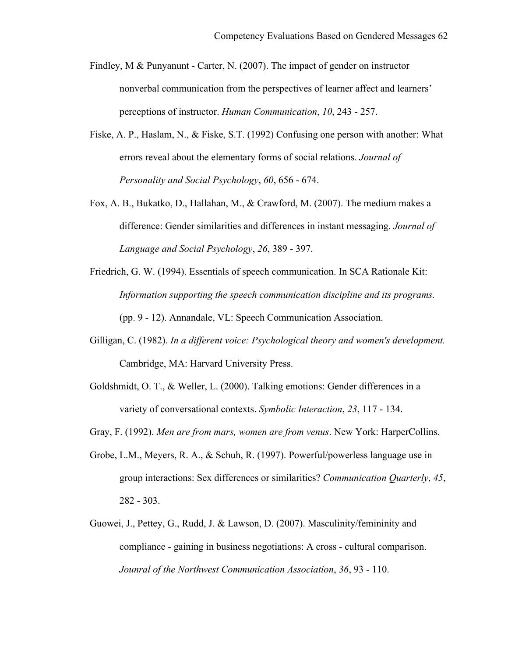- Findley, M & Punyanunt Carter, N. (2007). The impact of gender on instructor nonverbal communication from the perspectives of learner affect and learners' perceptions of instructor. *Human Communication*, *10*, 243 - 257.
- Fiske, A. P., Haslam, N., & Fiske, S.T. (1992) Confusing one person with another: What errors reveal about the elementary forms of social relations. *Journal of Personality and Social Psychology*, *60*, 656 - 674.
- Fox, A. B., Bukatko, D., Hallahan, M., & Crawford, M. (2007). The medium makes a difference: Gender similarities and differences in instant messaging. *Journal of Language and Social Psychology*, *26*, 389 - 397.
- Friedrich, G. W. (1994). Essentials of speech communication. In SCA Rationale Kit: *Information supporting the speech communication discipline and its programs.*  (pp. 9 - 12). Annandale, VL: Speech Communication Association.
- Gilligan, C. (1982). *In a different voice: Psychological theory and women's development.* Cambridge, MA: Harvard University Press.
- Goldshmidt, O. T., & Weller, L. (2000). Talking emotions: Gender differences in a variety of conversational contexts. *Symbolic Interaction*, *23*, 117 - 134.
- Gray, F. (1992). *Men are from mars, women are from venus*. New York: HarperCollins.
- Grobe, L.M., Meyers, R. A., & Schuh, R. (1997). Powerful/powerless language use in group interactions: Sex differences or similarities? *Communication Quarterly*, *45*, 282 - 303.
- Guowei, J., Pettey, G., Rudd, J. & Lawson, D. (2007). Masculinity/femininity and compliance - gaining in business negotiations: A cross - cultural comparison. *Jounral of the Northwest Communication Association*, *36*, 93 - 110.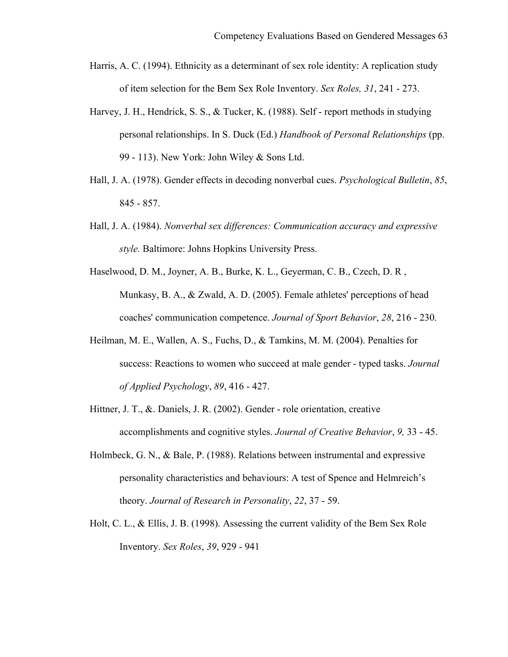- Harris, A. C. (1994). Ethnicity as a determinant of sex role identity: A replication study of item selection for the Bem Sex Role Inventory. *Sex Roles, 31*, 241 - 273.
- Harvey, J. H., Hendrick, S. S., & Tucker, K. (1988). Self report methods in studying personal relationships. In S. Duck (Ed.) *Handbook of Personal Relationships* (pp. 99 - 113). New York: John Wiley & Sons Ltd.
- Hall, J. A. (1978). Gender effects in decoding nonverbal cues. *Psychological Bulletin*, *85*, 845 - 857.
- Hall, J. A. (1984). *Nonverbal sex differences: Communication accuracy and expressive style.* Baltimore: Johns Hopkins University Press.
- Haselwood, D. M., Joyner, A. B., Burke, K. L., Geyerman, C. B., Czech, D. R , Munkasy, B. A., & Zwald, A. D. (2005). Female athletes' perceptions of head coaches' communication competence. *Journal of Sport Behavior*, *28*, 216 - 230.
- Heilman, M. E., Wallen, A. S., Fuchs, D., & Tamkins, M. M. (2004). Penalties for success: Reactions to women who succeed at male gender - typed tasks. *Journal of Applied Psychology*, *89*, 416 - 427.
- Hittner, J. T., &. Daniels, J. R. (2002). Gender role orientation, creative accomplishments and cognitive styles. *Journal of Creative Behavior*, *9,* 33 - 45.
- Holmbeck, G. N., & Bale, P. (1988). Relations between instrumental and expressive personality characteristics and behaviours: A test of Spence and Helmreich's theory. *Journal of Research in Personality*, *22*, 37 - 59.
- Holt, C. L., & Ellis, J. B. (1998). Assessing the current validity of the Bem Sex Role Inventory. *Sex Roles*, *39*, 929 - 941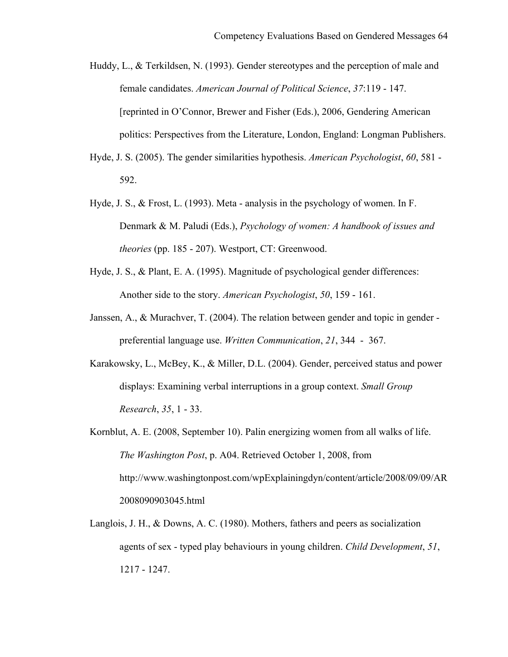- Huddy, L., & Terkildsen, N. (1993). Gender stereotypes and the perception of male and female candidates. *American Journal of Political Science*, *37*:119 - 147. [reprinted in O'Connor, Brewer and Fisher (Eds.), 2006, Gendering American politics: Perspectives from the Literature, London, England: Longman Publishers.
- Hyde, J. S. (2005). The gender similarities hypothesis. *American Psychologist*, *60*, 581 592.
- Hyde, J. S., & Frost, L. (1993). Meta analysis in the psychology of women. In F. Denmark & M. Paludi (Eds.), *Psychology of women: A handbook of issues and theories* (pp. 185 - 207). Westport, CT: Greenwood.
- Hyde, J. S., & Plant, E. A. (1995). Magnitude of psychological gender differences: Another side to the story. *American Psychologist*, *50*, 159 - 161.
- Janssen, A., & Murachver, T. (2004). The relation between gender and topic in gender preferential language use. *Written Communication*, *21*, 344 - 367.
- Karakowsky, L., McBey, K., & Miller, D.L. (2004). Gender, perceived status and power displays: Examining verbal interruptions in a group context. *Small Group Research*, *35*, 1 - 33.
- Kornblut, A. E. (2008, September 10). Palin energizing women from all walks of life. *The Washington Post*, p. A04. Retrieved October 1, 2008, from http://www.washingtonpost.com/wpExplainingdyn/content/article/2008/09/09/AR 2008090903045.html
- Langlois, J. H., & Downs, A. C. (1980). Mothers, fathers and peers as socialization agents of sex - typed play behaviours in young children. *Child Development*, *51*, 1217 - 1247.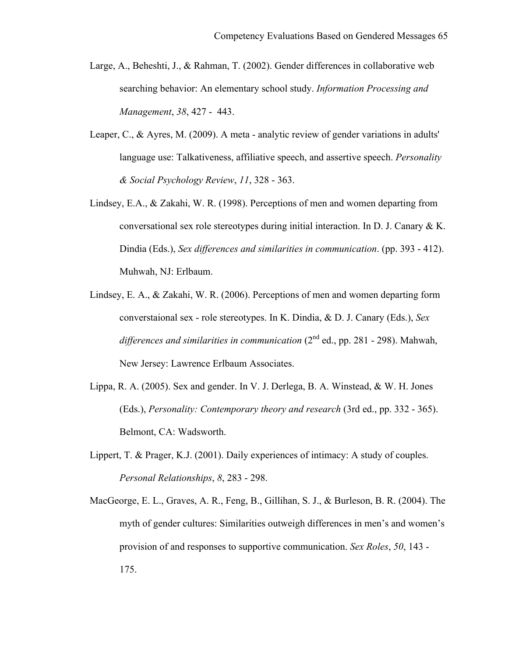- Large, A., Beheshti, J., & Rahman, T. (2002). Gender differences in collaborative web searching behavior: An elementary school study. *Information Processing and Management*, *38*, 427 - 443.
- Leaper, C., & Ayres, M. (2009). A meta analytic review of gender variations in adults' language use: Talkativeness, affiliative speech, and assertive speech. *Personality & Social Psychology Review*, *11*, 328 - 363.
- Lindsey, E.A., & Zakahi, W. R. (1998). Perceptions of men and women departing from conversational sex role stereotypes during initial interaction. In D. J. Canary & K. Dindia (Eds.), *Sex differences and similarities in communication*. (pp. 393 - 412). Muhwah, NJ: Erlbaum.
- Lindsey, E. A., & Zakahi, W. R. (2006). Perceptions of men and women departing form converstaional sex - role stereotypes. In K. Dindia, & D. J. Canary (Eds.), *Sex differences and similarities in communication*  $(2^{nd}$  ed., pp. 281 - 298). Mahwah, New Jersey: Lawrence Erlbaum Associates.
- Lippa, R. A. (2005). Sex and gender. In V. J. Derlega, B. A. Winstead, & W. H. Jones (Eds.), *Personality: Contemporary theory and research* (3rd ed., pp. 332 - 365). Belmont, CA: Wadsworth.
- Lippert, T. & Prager, K.J. (2001). Daily experiences of intimacy: A study of couples. *Personal Relationships*, *8*, 283 - 298.
- MacGeorge, E. L., Graves, A. R., Feng, B., Gillihan, S. J., & Burleson, B. R. (2004). The myth of gender cultures: Similarities outweigh differences in men's and women's provision of and responses to supportive communication. *Sex Roles*, *50*, 143 - 175.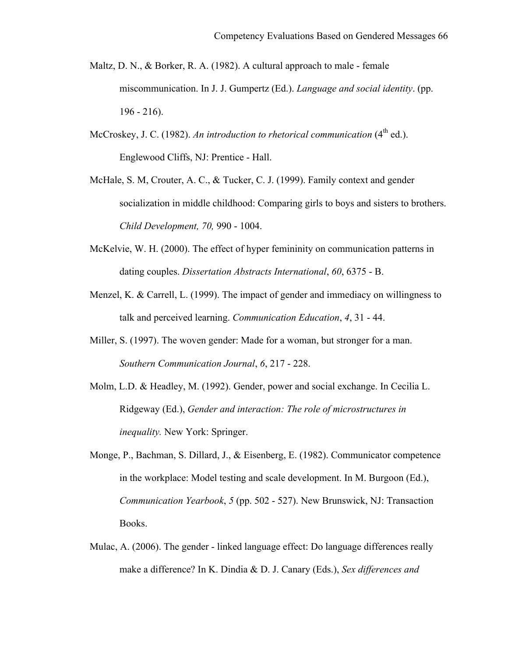- Maltz, D. N., & Borker, R. A. (1982). A cultural approach to male female miscommunication. In J. J. Gumpertz (Ed.). *Language and social identity*. (pp. 196 - 216).
- McCroskey, J. C. (1982). An introduction to rhetorical communication (4<sup>th</sup> ed.). Englewood Cliffs, NJ: Prentice - Hall.
- McHale, S. M, Crouter, A. C., & Tucker, C. J. (1999). Family context and gender socialization in middle childhood: Comparing girls to boys and sisters to brothers. *Child Development, 70,* 990 - 1004.
- McKelvie, W. H. (2000). The effect of hyper femininity on communication patterns in dating couples. *Dissertation Abstracts International*, *60*, 6375 - B.
- Menzel, K. & Carrell, L. (1999). The impact of gender and immediacy on willingness to talk and perceived learning. *Communication Education*, *4*, 31 - 44.
- Miller, S. (1997). The woven gender: Made for a woman, but stronger for a man. *Southern Communication Journal*, *6*, 217 - 228.
- Molm, L.D. & Headley, M. (1992). Gender, power and social exchange. In Cecilia L. Ridgeway (Ed.), *Gender and interaction: The role of microstructures in inequality.* New York: Springer.
- Monge, P., Bachman, S. Dillard, J., & Eisenberg, E. (1982). Communicator competence in the workplace: Model testing and scale development. In M. Burgoon (Ed.), *Communication Yearbook*, *5* (pp. 502 - 527). New Brunswick, NJ: Transaction Books.
- Mulac, A. (2006). The gender linked language effect: Do language differences really make a difference? In K. Dindia & D. J. Canary (Eds.), *Sex differences and*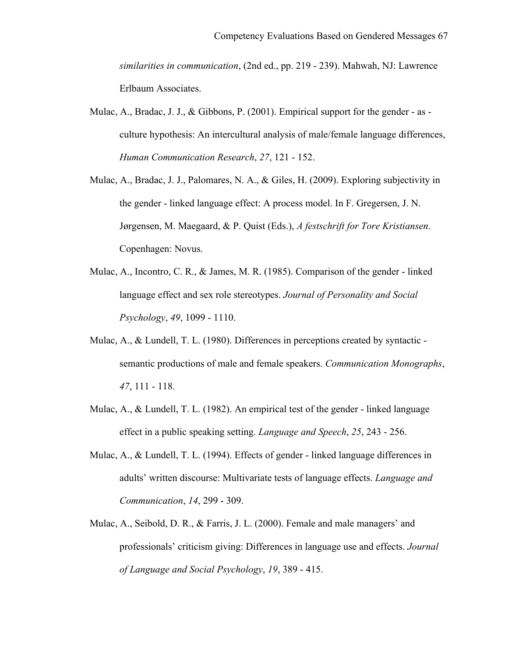*similarities in communication*, (2nd ed., pp. 219 - 239). Mahwah, NJ: Lawrence Erlbaum Associates.

- Mulac, A., Bradac, J. J., & Gibbons, P. (2001). Empirical support for the gender as culture hypothesis: An intercultural analysis of male/female language differences, *Human Communication Research*, *27*, 121 - 152.
- Mulac, A., Bradac, J. J., Palomares, N. A., & Giles, H. (2009). Exploring subjectivity in the gender - linked language effect: A process model. In F. Gregersen, J. N. Jørgensen, M. Maegaard, & P. Quist (Eds.), *A festschrift for Tore Kristiansen*. Copenhagen: Novus.
- Mulac, A., Incontro, C. R., & James, M. R. (1985). Comparison of the gender linked language effect and sex role stereotypes. *Journal of Personality and Social Psychology*, *49*, 1099 - 1110.
- Mulac, A., & Lundell, T. L. (1980). Differences in perceptions created by syntactic semantic productions of male and female speakers. *Communication Monographs*, *47*, 111 - 118.
- Mulac, A., & Lundell, T. L. (1982). An empirical test of the gender linked language effect in a public speaking setting. *Language and Speech*, *25*, 243 - 256.
- Mulac, A., & Lundell, T. L. (1994). Effects of gender linked language differences in adults' written discourse: Multivariate tests of language effects. *Language and Communication*, *14*, 299 - 309.
- Mulac, A., Seibold, D. R., & Farris, J. L. (2000). Female and male managers' and professionals' criticism giving: Differences in language use and effects. *Journal of Language and Social Psychology*, *19*, 389 - 415.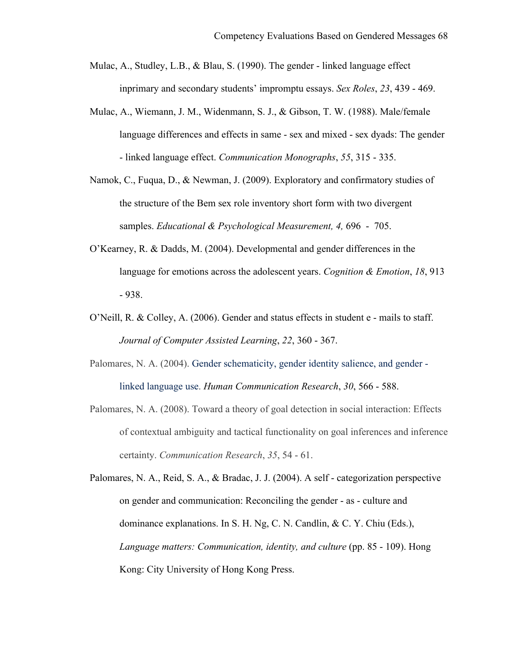- Mulac, A., Studley, L.B., & Blau, S. (1990). The gender linked language effect inprimary and secondary students' impromptu essays. *Sex Roles*, *23*, 439 - 469.
- Mulac, A., Wiemann, J. M., Widenmann, S. J., & Gibson, T. W. (1988). Male/female language differences and effects in same - sex and mixed - sex dyads: The gender - linked language effect. *Communication Monographs*, *55*, 315 - 335.
- Namok, C., Fuqua, D., & Newman, J. (2009). Exploratory and confirmatory studies of the structure of the Bem sex role inventory short form with two divergent samples. *Educational & Psychological Measurement, 4,* 696 - 705.
- O'Kearney, R. & Dadds, M. (2004). Developmental and gender differences in the language for emotions across the adolescent years. *Cognition & Emotion*, *18*, 913 - 938.
- O'Neill, R. & Colley, A. (2006). Gender and status effects in student e mails to staff. *Journal of Computer Assisted Learning*, *22*, 360 - 367.
- Palomares, N. A. (2004). Gender schematicity, gender identity salience, and gender linked language use. *Human Communication Research*, *30*, 566 - 588.
- Palomares, N. A. (2008). Toward a theory of goal detection in social interaction: Effects of contextual ambiguity and tactical functionality on goal inferences and inference certainty. *Communication Research*, *35*, 54 - 61.

Palomares, N. A., Reid, S. A., & Bradac, J. J. (2004). A self - categorization perspective on gender and communication: Reconciling the gender - as - culture and dominance explanations. In S. H. Ng, C. N. Candlin, & C. Y. Chiu (Eds.), *Language matters: Communication, identity, and culture* (pp. 85 - 109). Hong Kong: City University of Hong Kong Press.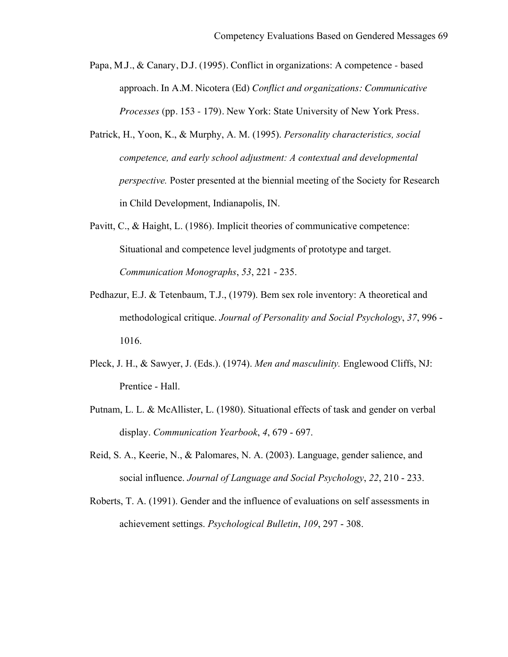- Papa, M.J., & Canary, D.J. (1995). Conflict in organizations: A competence based approach. In A.M. Nicotera (Ed) *Conflict and organizations: Communicative Processes* (pp. 153 - 179). New York: State University of New York Press.
- Patrick, H., Yoon, K., & Murphy, A. M. (1995). *Personality characteristics, social competence, and early school adjustment: A contextual and developmental perspective.* Poster presented at the biennial meeting of the Society for Research in Child Development, Indianapolis, IN.
- Pavitt, C., & Haight, L. (1986). Implicit theories of communicative competence: Situational and competence level judgments of prototype and target. *Communication Monographs*, *53*, 221 - 235.
- Pedhazur, E.J. & Tetenbaum, T.J., (1979). Bem sex role inventory: A theoretical and methodological critique. *Journal of Personality and Social Psychology*, *37*, 996 - 1016.
- Pleck, J. H., & Sawyer, J. (Eds.). (1974). *Men and masculinity.* Englewood Cliffs, NJ: Prentice - Hall.
- Putnam, L. L. & McAllister, L. (1980). Situational effects of task and gender on verbal display. *Communication Yearbook*, *4*, 679 - 697.
- Reid, S. A., Keerie, N., & Palomares, N. A. (2003). Language, gender salience, and social influence. *Journal of Language and Social Psychology*, *22*, 210 - 233.
- Roberts, T. A. (1991). Gender and the influence of evaluations on self assessments in achievement settings. *Psychological Bulletin*, *109*, 297 - 308.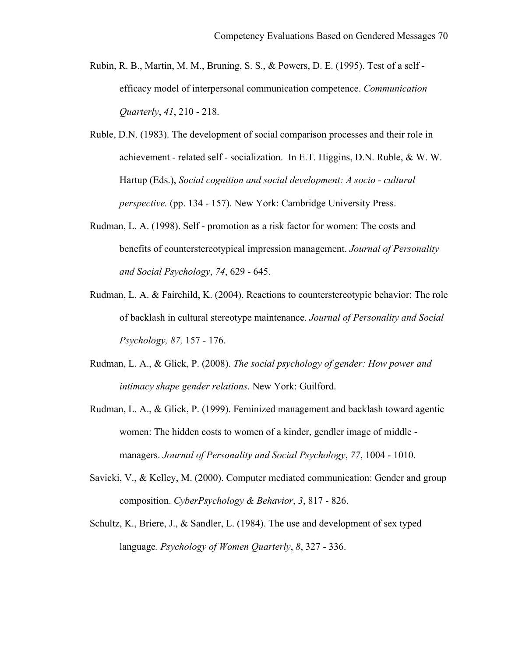- Rubin, R. B., Martin, M. M., Bruning, S. S., & Powers, D. E. (1995). Test of a self efficacy model of interpersonal communication competence. *Communication Quarterly*, *41*, 210 - 218.
- Ruble, D.N. (1983). The development of social comparison processes and their role in achievement - related self - socialization. In E.T. Higgins, D.N. Ruble, & W. W. Hartup (Eds.), *Social cognition and social development: A socio - cultural perspective.* (pp. 134 - 157). New York: Cambridge University Press.
- Rudman, L. A. (1998). Self promotion as a risk factor for women: The costs and benefits of counterstereotypical impression management. *Journal of Personality and Social Psychology*, *74*, 629 - 645.
- Rudman, L. A. & Fairchild, K. (2004). Reactions to counterstereotypic behavior: The role of backlash in cultural stereotype maintenance. *Journal of Personality and Social Psychology, 87,* 157 - 176.
- Rudman, L. A., & Glick, P. (2008). *The social psychology of gender: How power and intimacy shape gender relations*. New York: Guilford.
- Rudman, L. A., & Glick, P. (1999). Feminized management and backlash toward agentic women: The hidden costs to women of a kinder, gendler image of middle managers. *Journal of Personality and Social Psychology*, *77*, 1004 - 1010.
- Savicki, V., & Kelley, M. (2000). Computer mediated communication: Gender and group composition. *CyberPsychology & Behavior*, *3*, 817 - 826.
- Schultz, K., Briere, J., & Sandler, L. (1984). The use and development of sex typed language*. Psychology of Women Quarterly*, *8*, 327 - 336.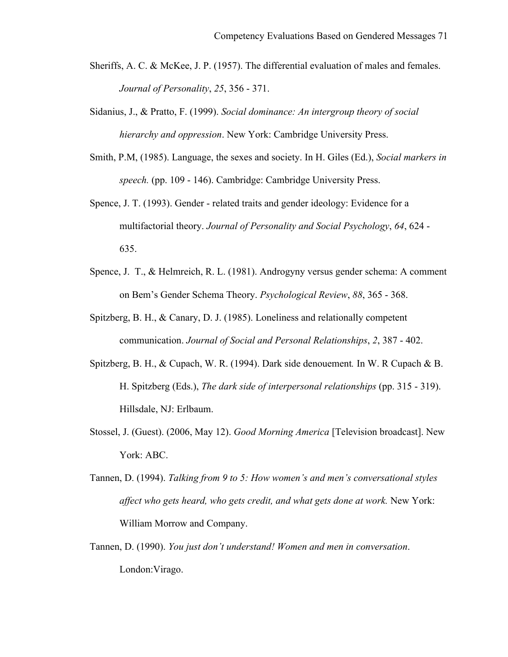- Sheriffs, A. C. & McKee, J. P. (1957). The differential evaluation of males and females. *Journal of Personality*, *25*, 356 - 371.
- Sidanius, J., & Pratto, F. (1999). *Social dominance: An intergroup theory of social hierarchy and oppression*. New York: Cambridge University Press.
- Smith, P.M, (1985). Language, the sexes and society. In H. Giles (Ed.), *Social markers in speech.* (pp. 109 - 146). Cambridge: Cambridge University Press.
- Spence, J. T. (1993). Gender related traits and gender ideology: Evidence for a multifactorial theory. *Journal of Personality and Social Psychology*, *64*, 624 - 635.
- Spence, J. T., & Helmreich, R. L. (1981). Androgyny versus gender schema: A comment on Bem's Gender Schema Theory. *Psychological Review*, *88*, 365 - 368.
- Spitzberg, B. H., & Canary, D. J. (1985). Loneliness and relationally competent communication. *Journal of Social and Personal Relationships*, *2*, 387 - 402.
- Spitzberg, B. H., & Cupach, W. R. (1994). Dark side denouement*.* In W. R Cupach & B. H. Spitzberg (Eds.), *The dark side of interpersonal relationships* (pp. 315 - 319). Hillsdale, NJ: Erlbaum.
- Stossel, J. (Guest). (2006, May 12). *Good Morning America* [Television broadcast]. New York: ABC.
- Tannen, D. (1994). *Talking from 9 to 5: How women's and men's conversational styles affect who gets heard, who gets credit, and what gets done at work.* New York: William Morrow and Company.
- Tannen, D. (1990). *You just don't understand! Women and men in conversation*. London:Virago.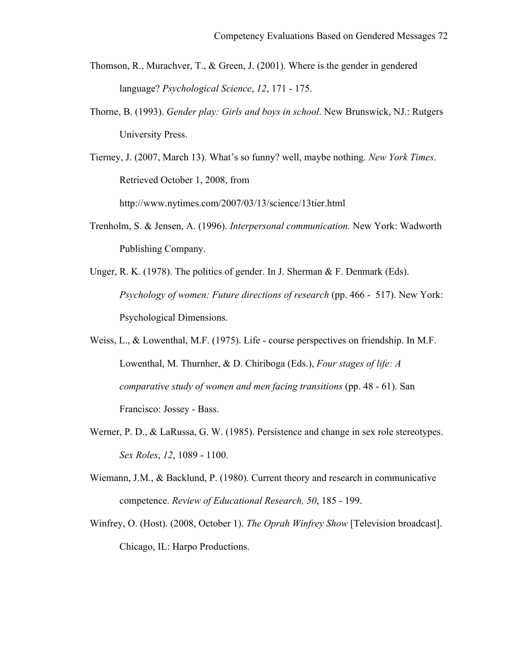- Thomson, R., Murachver, T., & Green, J. (2001). Where is the gender in gendered language? *Psychological Science*, *12*, 171 - 175.
- Thorne, B. (1993). *Gender play: Girls and boys in school*. New Brunswick, NJ.: Rutgers University Press.

Tierney, J. (2007, March 13). What's so funny? well, maybe nothing. *New York Times*. Retrieved October 1, 2008, from http://www.nytimes.com/2007/03/13/science/13tier.html

- Trenholm, S. & Jensen, A. (1996). *Interpersonal communication.* New York: Wadworth Publishing Company.
- Unger, R. K. (1978). The politics of gender. In J. Sherman & F. Denmark (Eds). *Psychology of women: Future directions of research* (pp. 466 - 517). New York: Psychological Dimensions.
- Weiss, L., & Lowenthal, M.F. (1975). Life course perspectives on friendship. In M.F. Lowenthal, M. Thurnher, & D. Chiriboga (Eds.), *Four stages of life: A comparative study of women and men facing transitions* (pp. 48 - 61). San Francisco: Jossey - Bass.
- Werner, P. D., & LaRussa, G. W. (1985). Persistence and change in sex role stereotypes. *Sex Roles*, *12*, 1089 - 1100.
- Wiemann, J.M., & Backlund, P. (1980). Current theory and research in communicative competence. *Review of Educational Research, 50*, 185 - 199.
- Winfrey, O. (Host). (2008, October 1). *The Oprah Winfrey Show* [Television broadcast]. Chicago, IL: Harpo Productions.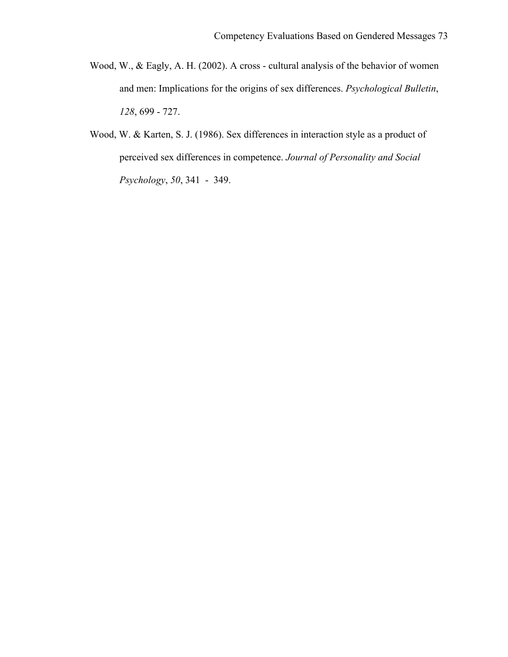- Wood, W., & Eagly, A. H. (2002). A cross cultural analysis of the behavior of women and men: Implications for the origins of sex differences. *Psychological Bulletin*, *128*, 699 - 727.
- Wood, W. & Karten, S. J. (1986). Sex differences in interaction style as a product of perceived sex differences in competence. *Journal of Personality and Social Psychology*, *50*, 341 - 349.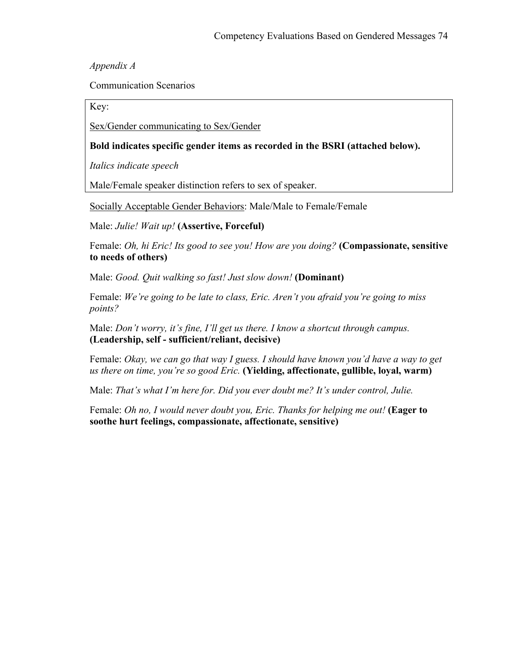*Appendix A*

Communication Scenarios

Key:

Sex/Gender communicating to Sex/Gender

### **Bold indicates specific gender items as recorded in the BSRI (attached below).**

*Italics indicate speech* 

Male/Female speaker distinction refers to sex of speaker.

Socially Acceptable Gender Behaviors: Male/Male to Female/Female

Male: *Julie! Wait up!* **(Assertive, Forceful)** 

Female: *Oh, hi Eric! Its good to see you! How are you doing?* **(Compassionate, sensitive to needs of others)** 

Male: *Good. Quit walking so fast! Just slow down!* **(Dominant)**

Female: *We're going to be late to class, Eric. Aren't you afraid you're going to miss points?* 

Male: *Don't worry, it's fine, I'll get us there. I know a shortcut through campus.* **(Leadership, self - sufficient/reliant, decisive)** 

Female: *Okay, we can go that way I guess. I should have known you'd have a way to get us there on time, you're so good Eric.* **(Yielding, affectionate, gullible, loyal, warm)** 

Male: *That's what I'm here for. Did you ever doubt me? It's under control, Julie.*

Female: *Oh no, I would never doubt you, Eric. Thanks for helping me out!* **(Eager to soothe hurt feelings, compassionate, affectionate, sensitive)**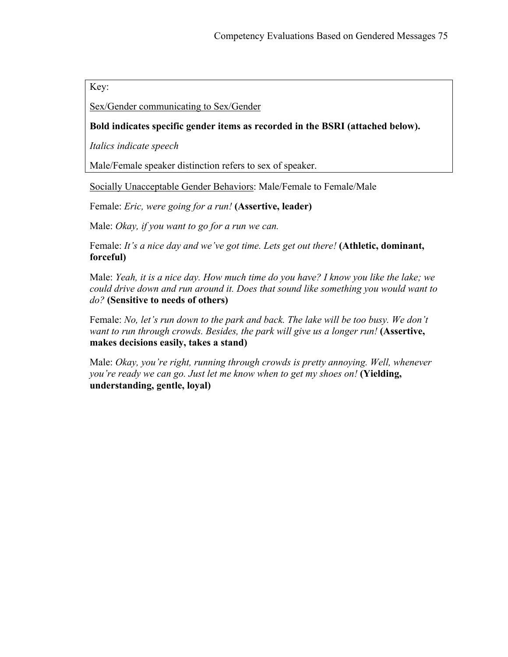Key:

Sex/Gender communicating to Sex/Gender

# **Bold indicates specific gender items as recorded in the BSRI (attached below).**

*Italics indicate speech* 

Male/Female speaker distinction refers to sex of speaker.

Socially Unacceptable Gender Behaviors: Male/Female to Female/Male

Female: *Eric, were going for a run!* **(Assertive, leader)**

Male: *Okay, if you want to go for a run we can.*

Female: *It's a nice day and we've got time. Lets get out there!* **(Athletic, dominant, forceful)** 

Male: *Yeah, it is a nice day. How much time do you have? I know you like the lake; we could drive down and run around it. Does that sound like something you would want to do?* **(Sensitive to needs of others)**

Female: *No, let's run down to the park and back. The lake will be too busy. We don't want to run through crowds. Besides, the park will give us a longer run!* **(Assertive, makes decisions easily, takes a stand)** 

Male: *Okay, you're right, running through crowds is pretty annoying. Well, whenever you're ready we can go. Just let me know when to get my shoes on!* **(Yielding, understanding, gentle, loyal)**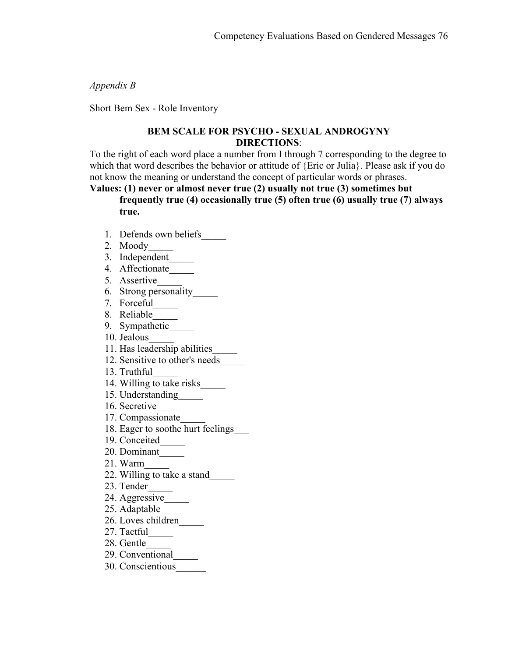*Appendix B*

Short Bem Sex - Role Inventory

### **BEM SCALE FOR PSYCHO - SEXUAL ANDROGYNY DIRECTIONS**:

To the right of each word place a number from I through 7 corresponding to the degree to which that word describes the behavior or attitude of {Eric or Julia}. Please ask if you do not know the meaning or understand the concept of particular words or phrases.

# **Values: (1) never or almost never true (2) usually not true (3) sometimes but**

**frequently true (4) occasionally true (5) often true (6) usually true (7) always true.**

- 1. Defends own beliefs\_\_\_\_\_
- 2. Moody\_\_\_\_\_
- 3. Independent\_\_\_\_\_
- 4. Affectionate\_\_\_\_\_
- 5. Assertive\_\_\_\_\_
- 6. Strong personality\_\_\_\_\_
- 7. Forceful<sub>\_\_\_\_\_\_</sub>
- 8. Reliable\_\_\_\_\_
- 9. Sympathetic\_\_\_\_\_\_
- 10. Jealous\_\_\_\_\_
- 11. Has leadership abilities\_\_\_\_\_
- 12. Sensitive to other's needs\_\_\_\_\_
- 13. Truthful\_\_\_\_\_
- 14. Willing to take risks
- 15. Understanding\_\_\_\_\_
- 16. Secretive\_\_\_\_\_
- 17. Compassionate\_\_\_\_\_
- 18. Eager to soothe hurt feelings\_\_\_
- 19. Conceited\_\_\_\_\_
- 20. Dominant\_\_\_\_\_
- 21. Warm\_\_\_\_\_
- 22. Willing to take a stand\_\_\_\_\_
- 23. Tender
- 24. Aggressive
- 25. Adaptable\_\_\_\_\_
- 26. Loves children\_\_\_\_\_
- 27. Tactful\_\_\_\_\_
- 28. Gentle\_\_\_\_\_
- 29. Conventional\_\_\_\_\_
- 30. Conscientious\_\_\_\_\_\_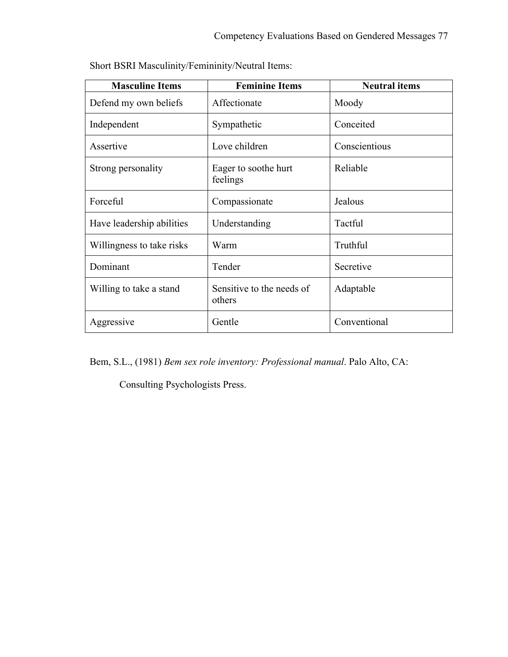| <b>Masculine Items</b>    | <b>Feminine Items</b>               | <b>Neutral items</b> |
|---------------------------|-------------------------------------|----------------------|
| Defend my own beliefs     | Affectionate                        | Moody                |
| Independent               | Sympathetic                         | Conceited            |
| Assertive                 | Love children                       | Conscientious        |
| Strong personality        | Eager to soothe hurt<br>feelings    | Reliable             |
| Forceful                  | Compassionate                       | Jealous              |
| Have leadership abilities | Understanding                       | Tactful              |
| Willingness to take risks | Warm                                | Truthful             |
| Dominant                  | Tender                              | Secretive            |
| Willing to take a stand   | Sensitive to the needs of<br>others | Adaptable            |
| Aggressive                | Gentle                              | Conventional         |

Short BSRI Masculinity/Femininity/Neutral Items:

Bem, S.L., (1981) *Bem sex role inventory: Professional manual*. Palo Alto, CA:

Consulting Psychologists Press.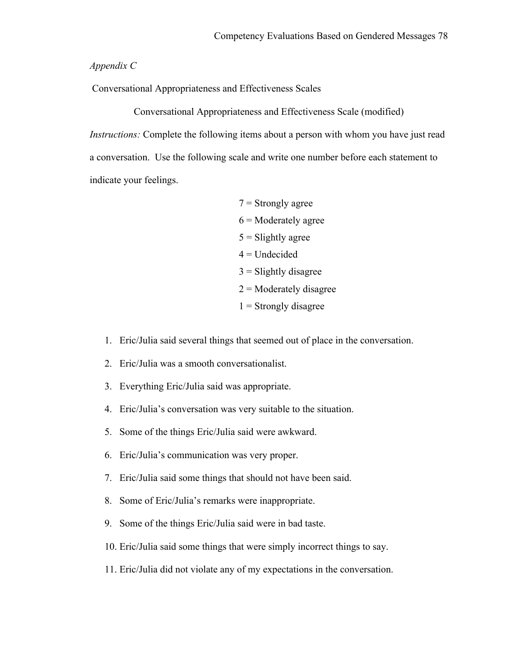#### *Appendix C*

Conversational Appropriateness and Effectiveness Scales

Conversational Appropriateness and Effectiveness Scale (modified) *Instructions:* Complete the following items about a person with whom you have just read a conversation. Use the following scale and write one number before each statement to indicate your feelings.

- $7 =$ Strongly agree  $6$  = Moderately agree  $5 =$ Slightly agree  $4$  = Undecided  $3$  = Slightly disagree  $2$  = Moderately disagree  $1$  = Strongly disagree
- 1. Eric/Julia said several things that seemed out of place in the conversation.
- 2. Eric/Julia was a smooth conversationalist.
- 3. Everything Eric/Julia said was appropriate.
- 4. Eric/Julia's conversation was very suitable to the situation.
- 5. Some of the things Eric/Julia said were awkward.
- 6. Eric/Julia's communication was very proper.
- 7. Eric/Julia said some things that should not have been said.
- 8. Some of Eric/Julia's remarks were inappropriate.
- 9. Some of the things Eric/Julia said were in bad taste.
- 10. Eric/Julia said some things that were simply incorrect things to say.
- 11. Eric/Julia did not violate any of my expectations in the conversation.